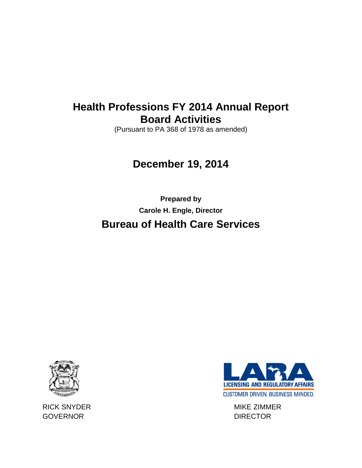# **Health Professions FY 2014 Annual Report Board Activities**

(Pursuant to PA 368 of 1978 as amended)

# **December 19, 2014**

**Prepared by Carole H. Engle, Director Bureau of Health Care Services**



RICK SNYDER MIKE ZIMMER GOVERNOR DIRECTOR

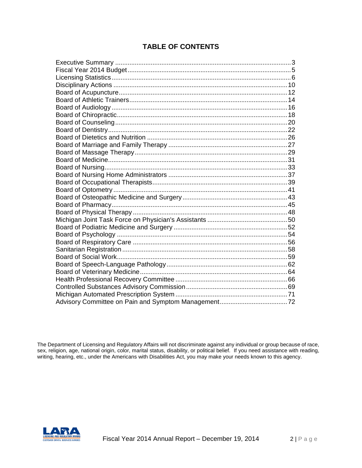# **TABLE OF CONTENTS**

The Department of Licensing and Regulatory Affairs will not discriminate against any individual or group because of race, sex, religion, age, national origin, color, marital status, disability, or political belief. If you need assistance with reading, writing, hearing, etc., under the Americans with Disabilities Act, you may make your needs known to this agency.

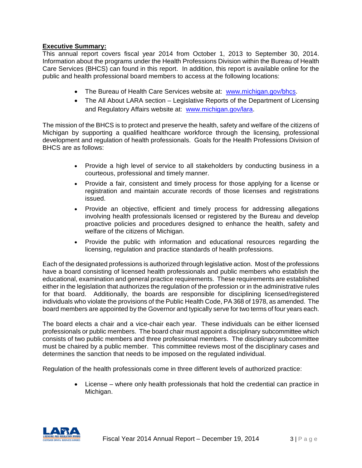### **Executive Summary:**

This annual report covers fiscal year 2014 from October 1, 2013 to September 30, 2014. Information about the programs under the Health Professions Division within the Bureau of Health Care Services (BHCS) can found in this report. In addition, this report is available online for the public and health professional board members to access at the following locations:

- The Bureau of Health Care Services website at: [www.michigan.gov/bhcs.](http://www.michigan.gov/bhcs)
- The All About LARA section Legislative Reports of the Department of Licensing and Regulatory Affairs website at: [www.michigan.gov/lara.](http://www.michigan.gov/lara)

The mission of the BHCS is to protect and preserve the health, safety and welfare of the citizens of Michigan by supporting a qualified healthcare workforce through the licensing, professional development and regulation of health professionals. Goals for the Health Professions Division of BHCS are as follows:

- Provide a high level of service to all stakeholders by conducting business in a courteous, professional and timely manner.
- Provide a fair, consistent and timely process for those applying for a license or registration and maintain accurate records of those licenses and registrations issued.
- Provide an objective, efficient and timely process for addressing allegations involving health professionals licensed or registered by the Bureau and develop proactive policies and procedures designed to enhance the health, safety and welfare of the citizens of Michigan.
- Provide the public with information and educational resources regarding the licensing, regulation and practice standards of health professions.

Each of the designated professions is authorized through legislative action. Most of the professions have a board consisting of licensed health professionals and public members who establish the educational, examination and general practice requirements. These requirements are established either in the legislation that authorizes the regulation of the profession or in the administrative rules for that board. Additionally, the boards are responsible for disciplining licensed/registered individuals who violate the provisions of the Public Health Code, PA 368 of 1978, as amended. The board members are appointed by the Governor and typically serve for two terms of four years each.

The board elects a chair and a vice-chair each year. These individuals can be either licensed professionals or public members. The board chair must appoint a disciplinary subcommittee which consists of two public members and three professional members. The disciplinary subcommittee must be chaired by a public member. This committee reviews most of the disciplinary cases and determines the sanction that needs to be imposed on the regulated individual.

Regulation of the health professionals come in three different levels of authorized practice:

• License – where only health professionals that hold the credential can practice in Michigan.

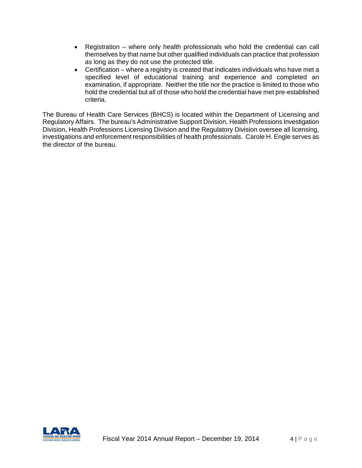- Registration where only health professionals who hold the credential can call themselves by that name but other qualified individuals can practice that profession as long as they do not use the protected title.
- Certification where a registry is created that indicates individuals who have met a specified level of educational training and experience and completed an examination, if appropriate. Neither the title nor the practice is limited to those who hold the credential but all of those who hold the credential have met pre-established criteria.

The Bureau of Health Care Services (BHCS) is located within the Department of Licensing and Regulatory Affairs. The bureau's Administrative Support Division, Health Professions Investigation Division, Health Professions Licensing Division and the Regulatory Division oversee all licensing, investigations and enforcement responsibilities of health professionals. Carole H. Engle serves as the director of the bureau.

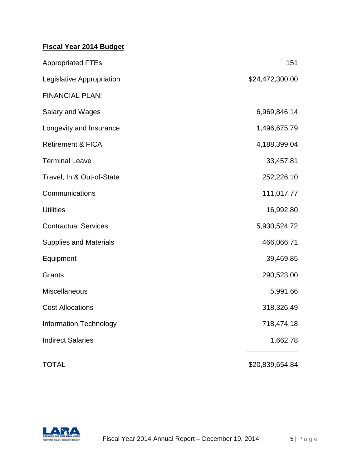# **Fiscal Year 2014 Budget**

| <b>Appropriated FTEs</b>      | 151             |
|-------------------------------|-----------------|
| Legislative Appropriation     | \$24,472,300.00 |
| <b>FINANCIAL PLAN:</b>        |                 |
| Salary and Wages              | 6,969,846.14    |
| Longevity and Insurance       | 1,496,675.79    |
| <b>Retirement &amp; FICA</b>  | 4,188,399.04    |
| <b>Terminal Leave</b>         | 33,457.81       |
| Travel, In & Out-of-State     | 252,226.10      |
| Communications                | 111,017.77      |
| <b>Utilities</b>              | 16,992.80       |
| <b>Contractual Services</b>   | 5,930,524.72    |
| <b>Supplies and Materials</b> | 466,066.71      |
| Equipment                     | 39,469.85       |
| Grants                        | 290,523.00      |
| Miscellaneous                 | 5,991.66        |
| <b>Cost Allocations</b>       | 318,326.49      |
| <b>Information Technology</b> | 718,474.18      |
| <b>Indirect Salaries</b>      | 1,662.78        |
| <b>TOTAL</b>                  | \$20,839,654.84 |

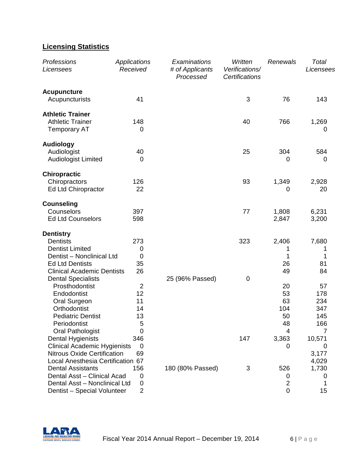# **Licensing Statistics**

| Professions<br>Licensees                | Applications<br>Received | Examinations<br># of Applicants<br>Processed | Written<br>Verifications/<br>Certifications | Renewals       | Total<br>Licensees |
|-----------------------------------------|--------------------------|----------------------------------------------|---------------------------------------------|----------------|--------------------|
| <b>Acupuncture</b><br>Acupuncturists    | 41                       |                                              | 3                                           | 76             | 143                |
|                                         |                          |                                              |                                             |                |                    |
| <b>Athletic Trainer</b>                 |                          |                                              |                                             |                |                    |
| <b>Athletic Trainer</b>                 | 148                      |                                              | 40                                          | 766            | 1,269              |
| <b>Temporary AT</b>                     | 0                        |                                              |                                             |                | 0                  |
| <b>Audiology</b>                        |                          |                                              |                                             |                |                    |
| Audiologist                             | 40                       |                                              | 25                                          | 304            | 584                |
| <b>Audiologist Limited</b>              | 0                        |                                              |                                             | 0              | 0                  |
| <b>Chiropractic</b>                     |                          |                                              |                                             |                |                    |
| Chiropractors                           | 126                      |                                              | 93                                          | 1,349          | 2,928              |
| Ed Ltd Chiropractor                     | 22                       |                                              |                                             | 0              | 20                 |
|                                         |                          |                                              |                                             |                |                    |
| <b>Counseling</b>                       |                          |                                              |                                             |                |                    |
| Counselors                              | 397                      |                                              | 77                                          | 1,808          | 6,231              |
| <b>Ed Ltd Counselors</b>                | 598                      |                                              |                                             | 2,847          | 3,200              |
| <b>Dentistry</b>                        |                          |                                              |                                             |                |                    |
| <b>Dentists</b>                         | 273                      |                                              | 323                                         | 2,406          | 7,680              |
| <b>Dentist Limited</b>                  | 0                        |                                              |                                             | 1              | 1                  |
| Dentist - Nonclinical Ltd               | $\mathbf 0$              |                                              |                                             | 1              | 1                  |
| <b>Ed Ltd Dentists</b>                  | 35                       |                                              |                                             | 26             | 81                 |
| <b>Clinical Academic Dentists</b>       | 26                       |                                              |                                             | 49             | 84                 |
| <b>Dental Specialists</b>               |                          | 25 (96% Passed)                              | 0                                           |                |                    |
| Prosthodontist                          | $\overline{2}$           |                                              |                                             | 20             | 57                 |
| Endodontist                             | 12                       |                                              |                                             | 53             | 178                |
| Oral Surgeon                            | 11                       |                                              |                                             | 63             | 234                |
| Orthodontist                            | 14                       |                                              |                                             | 104            | 347                |
| <b>Pediatric Dentist</b>                | 13                       |                                              |                                             | 50             | 145                |
| Periodontist<br><b>Oral Pathologist</b> | 5<br>0                   |                                              |                                             | 48<br>4        | 166<br>7           |
| Dental Hygienists                       | 346                      |                                              | 147                                         | 3,363          | 10,571             |
| <b>Clinical Academic Hygienists</b>     | $\mathbf 0$              |                                              |                                             | 0              | 0                  |
| <b>Nitrous Oxide Certification</b>      | 69                       |                                              |                                             |                | 3,177              |
| Local Anesthesia Certification 67       |                          |                                              |                                             |                | 4,029              |
| <b>Dental Assistants</b>                | 156                      | 180 (80% Passed)                             | 3                                           | 526            | 1,730              |
| Dental Asst - Clinical Acad             | 0                        |                                              |                                             | 0              | 0                  |
| Dental Asst - Nonclinical Ltd           | 0                        |                                              |                                             | $\overline{2}$ | 1                  |
| Dentist - Special Volunteer             | $\overline{2}$           |                                              |                                             | 0              | 15                 |

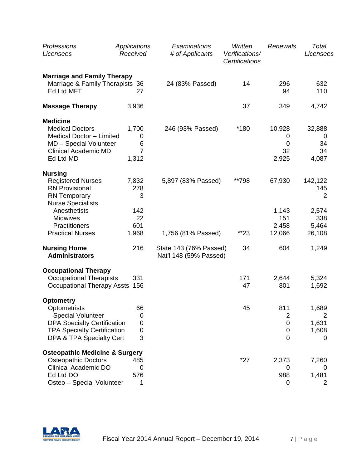| Professions<br>Licensees                                                                                                                                             | Applications<br>Received                   | Examinations<br># of Applicants                  | Written<br>Verifications/<br>Certifications | Renewals                                                 | Total<br>Licensees                             |
|----------------------------------------------------------------------------------------------------------------------------------------------------------------------|--------------------------------------------|--------------------------------------------------|---------------------------------------------|----------------------------------------------------------|------------------------------------------------|
| <b>Marriage and Family Therapy</b><br>Marriage & Family Therapists 36<br>Ed Ltd MFT                                                                                  | 27                                         | 24 (83% Passed)                                  | 14                                          | 296<br>94                                                | 632<br>110                                     |
| <b>Massage Therapy</b>                                                                                                                                               | 3,936                                      |                                                  | 37                                          | 349                                                      | 4,742                                          |
| <b>Medicine</b><br><b>Medical Doctors</b><br>Medical Doctor - Limited<br>MD - Special Volunteer<br><b>Clinical Academic MD</b><br>Ed Ltd MD                          | 1,700<br>0<br>6<br>$\overline{7}$<br>1,312 | 246 (93% Passed)                                 | *180                                        | 10,928<br>0<br>$\mathbf 0$<br>32<br>2,925                | 32,888<br>0<br>34<br>34<br>4,087               |
| <b>Nursing</b><br><b>Registered Nurses</b><br><b>RN Provisional</b><br><b>RN</b> Temporary<br><b>Nurse Specialists</b><br>Anesthetists                               | 7,832<br>278<br>3<br>142                   | 5,897 (83% Passed)                               | **798                                       | 67,930<br>1,143                                          | 142,122<br>145<br>2<br>2,574                   |
| <b>Midwives</b><br>Practitioners<br><b>Practical Nurses</b>                                                                                                          | 22<br>601<br>1,968                         | 1,756 (81% Passed)                               | **23                                        | 151<br>2,458<br>12,066                                   | 338<br>5,464<br>26,108                         |
| <b>Nursing Home</b><br><b>Administrators</b>                                                                                                                         | 216                                        | State 143 (76% Passed)<br>Nat'l 148 (59% Passed) | 34                                          | 604                                                      | 1,249                                          |
| <b>Occupational Therapy</b><br><b>Occupational Therapists</b><br>Occupational Therapy Assts 156                                                                      | 331                                        |                                                  | 171<br>47                                   | 2,644<br>801                                             | 5,324<br>1,692                                 |
| <b>Optometry</b><br>Optometrists<br><b>Special Volunteer</b><br><b>DPA Specialty Certification</b><br><b>TPA Specialty Certification</b><br>DPA & TPA Specialty Cert | 66<br>0<br>0<br>0<br>3                     |                                                  | 45                                          | 811<br>2<br>$\mathbf 0$<br>$\mathbf 0$<br>$\overline{0}$ | 1,689<br>$\overline{2}$<br>1,631<br>1,608<br>0 |
| <b>Osteopathic Medicine &amp; Surgery</b><br><b>Osteopathic Doctors</b><br><b>Clinical Academic DO</b><br>Ed Ltd DO<br>Osteo - Special Volunteer                     | 485<br>0<br>576<br>1                       |                                                  | $*27$                                       | 2,373<br>0<br>988<br>0                                   | 7,260<br>0<br>1,481<br>2                       |

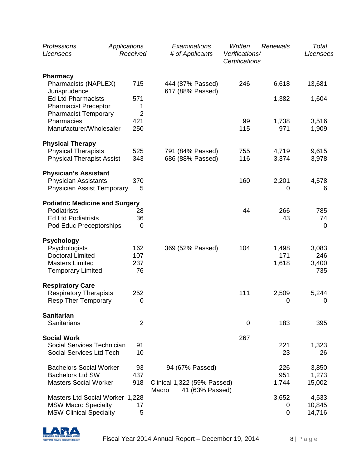| Professions<br>Licensees                                                                              | Applications | Received                   | Examinations<br># of Applicants                         | Written<br>Verifications/<br><b>Certifications</b> | Renewals        | Total<br>Licensees          |
|-------------------------------------------------------------------------------------------------------|--------------|----------------------------|---------------------------------------------------------|----------------------------------------------------|-----------------|-----------------------------|
| <b>Pharmacy</b>                                                                                       |              |                            |                                                         |                                                    |                 |                             |
| Pharmacists (NAPLEX)<br>Jurisprudence                                                                 |              | 715                        | 444 (87% Passed)<br>617 (88% Passed)                    | 246                                                | 6,618           | 13,681                      |
| <b>Ed Ltd Pharmacists</b><br><b>Pharmacist Preceptor</b><br><b>Pharmacist Temporary</b>               |              | 571<br>1<br>$\overline{2}$ |                                                         |                                                    | 1,382           | 1,604                       |
| Pharmacies<br>Manufacturer/Wholesaler                                                                 |              | 421<br>250                 |                                                         | 99<br>115                                          | 1,738<br>971    | 3,516<br>1,909              |
| <b>Physical Therapy</b>                                                                               |              |                            |                                                         |                                                    |                 |                             |
| <b>Physical Therapists</b><br><b>Physical Therapist Assist</b>                                        |              | 525<br>343                 | 791 (84% Passed)<br>686 (88% Passed)                    | 755<br>116                                         | 4,719<br>3,374  | 9,615<br>3,978              |
| <b>Physician's Assistant</b>                                                                          |              |                            |                                                         |                                                    |                 |                             |
| <b>Physician Assistants</b><br><b>Physician Assist Temporary</b>                                      |              | 370<br>5                   |                                                         | 160                                                | 2,201<br>0      | 4,578<br>6                  |
| <b>Podiatric Medicine and Surgery</b>                                                                 |              |                            |                                                         |                                                    |                 |                             |
| Podiatrists<br><b>Ed Ltd Podiatrists</b><br>Pod Educ Preceptorships                                   |              | 28<br>36<br>$\mathbf 0$    |                                                         | 44                                                 | 266<br>43       | 785<br>74<br>$\overline{0}$ |
| <b>Psychology</b>                                                                                     |              |                            |                                                         |                                                    |                 |                             |
| Psychologists<br><b>Doctoral Limited</b>                                                              |              | 162<br>107                 | 369 (52% Passed)                                        | 104                                                | 1,498<br>171    | 3,083<br>246                |
| <b>Masters Limited</b><br><b>Temporary Limited</b>                                                    |              | 237<br>76                  |                                                         |                                                    | 1,618           | 3,400<br>735                |
| <b>Respiratory Care</b>                                                                               |              |                            |                                                         |                                                    |                 |                             |
| <b>Respiratory Therapists</b><br><b>Resp Ther Temporary</b>                                           |              | 252<br>0                   |                                                         | 111                                                | 2,509<br>0      | 5,244<br>$\boldsymbol{0}$   |
| <b>Sanitarian</b>                                                                                     |              |                            |                                                         |                                                    |                 |                             |
| <b>Sanitarians</b>                                                                                    |              | 2                          |                                                         | 0                                                  | 183             | 395                         |
| <b>Social Work</b>                                                                                    |              |                            |                                                         | 267                                                |                 |                             |
| Social Services Technician<br>Social Services Ltd Tech                                                |              | 91<br>10                   |                                                         |                                                    | 221<br>23       | 1,323<br>26                 |
| <b>Bachelors Social Worker</b><br><b>Bachelors Ltd SW</b>                                             |              | 93<br>437                  | 94 (67% Passed)                                         |                                                    | 226<br>951      | 3,850<br>1,273              |
| <b>Masters Social Worker</b>                                                                          |              | 918                        | Clinical 1,322 (59% Passed)<br>Macro<br>41 (63% Passed) |                                                    | 1,744           | 15,002                      |
| <b>Masters Ltd Social Worker 1,228</b><br><b>MSW Macro Specialty</b><br><b>MSW Clinical Specialty</b> |              | 17<br>5                    |                                                         |                                                    | 3,652<br>0<br>0 | 4,533<br>10,845<br>14,716   |

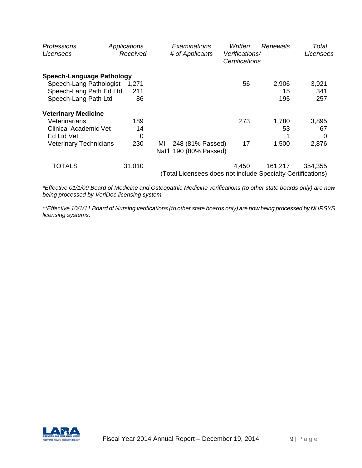| Professions<br>Licensees         | Applications<br>Received | Examinations<br># of Applicants                             | Written<br>Verifications/<br>Certifications | Renewals | Total<br>Licensees |
|----------------------------------|--------------------------|-------------------------------------------------------------|---------------------------------------------|----------|--------------------|
| <b>Speech-Language Pathology</b> |                          |                                                             |                                             |          |                    |
| Speech-Lang Pathologist          | 1.271                    |                                                             | 56                                          | 2,906    | 3,921              |
| Speech-Lang Path Ed Ltd          | 211                      |                                                             |                                             | 15       | 341                |
| Speech-Lang Path Ltd             | 86                       |                                                             |                                             | 195      | 257                |
| <b>Veterinary Medicine</b>       |                          |                                                             |                                             |          |                    |
| Veterinarians                    | 189                      |                                                             | 273                                         | 1,780    | 3,895              |
| Clinical Academic Vet            | 14                       |                                                             |                                             | 53       | 67                 |
| Ed Ltd Vet                       | 0                        |                                                             |                                             |          | 0                  |
| <b>Veterinary Technicians</b>    | 230                      | 248 (81% Passed)<br>MI<br>Nat'l 190 (80% Passed)            | 17                                          | 1,500    | 2,876              |
| <b>TOTALS</b>                    | 31,010                   |                                                             | 4,450                                       | 161,217  | 354,355            |
|                                  |                          | (Total Licensees does not include Specialty Certifications) |                                             |          |                    |

*\*Effective 01/1/09 Board of Medicine and Osteopathic Medicine verifications (to other state boards only) are now being processed by VeriDoc licensing system.*

*\*\*Effective 10/1/11 Board of Nursing verifications (to other state boards only) are now being processed by NURSYS licensing systems.*

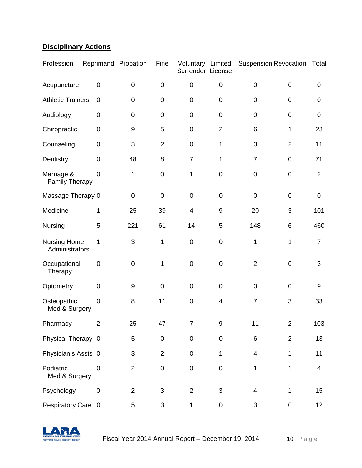# **Disciplinary Actions**

| Profession                            | Reprimand Probation     |                  | Fine           | Voluntary Limited<br>Surrender License |                  | <b>Suspension Revocation</b> |                | Total            |
|---------------------------------------|-------------------------|------------------|----------------|----------------------------------------|------------------|------------------------------|----------------|------------------|
| Acupuncture                           | $\mathbf 0$             | $\pmb{0}$        | $\mathbf 0$    | $\mathsf 0$                            | $\mathbf 0$      | $\mathbf 0$                  | $\pmb{0}$      | 0                |
| <b>Athletic Trainers</b>              | $\mathbf 0$             | $\mathsf 0$      | $\mathbf 0$    | 0                                      | $\boldsymbol{0}$ | $\pmb{0}$                    | $\pmb{0}$      | 0                |
| Audiology                             | 0                       | $\mathsf 0$      | $\mathbf 0$    | $\mathsf 0$                            | $\pmb{0}$        | $\pmb{0}$                    | $\pmb{0}$      | $\boldsymbol{0}$ |
| Chiropractic                          | $\pmb{0}$               | $\boldsymbol{9}$ | 5              | $\mathbf 0$                            | $\overline{2}$   | 6                            | 1              | 23               |
| Counseling                            | $\mathbf 0$             | 3                | $\overline{2}$ | $\mathbf 0$                            | 1                | 3                            | $\overline{2}$ | 11               |
| Dentistry                             | $\boldsymbol{0}$        | 48               | 8              | $\overline{7}$                         | 1                | $\overline{7}$               | $\pmb{0}$      | 71               |
| Marriage &<br><b>Family Therapy</b>   | 0                       | 1                | $\mathbf 0$    | 1                                      | $\mathbf 0$      | $\pmb{0}$                    | $\pmb{0}$      | $\overline{2}$   |
| Massage Therapy 0                     |                         | $\pmb{0}$        | $\pmb{0}$      | $\mathsf 0$                            | $\pmb{0}$        | $\pmb{0}$                    | $\pmb{0}$      | $\mathsf 0$      |
| Medicine                              | 1                       | 25               | 39             | 4                                      | $\boldsymbol{9}$ | 20                           | 3              | 101              |
| Nursing                               | 5                       | 221              | 61             | 14                                     | 5                | 148                          | 6              | 460              |
| <b>Nursing Home</b><br>Administrators | 1                       | 3                | 1              | $\mathbf 0$                            | $\pmb{0}$        | 1                            | 1              | $\overline{7}$   |
| Occupational<br>Therapy               | $\boldsymbol{0}$        | $\pmb{0}$        | 1              | $\mathbf 0$                            | $\pmb{0}$        | $\overline{2}$               | $\pmb{0}$      | 3                |
| Optometry                             | $\mathbf 0$             | 9                | $\mathbf 0$    | $\mathbf 0$                            | $\mathbf 0$      | $\mathbf 0$                  | $\mathbf 0$    | 9                |
| Osteopathic<br>Med & Surgery          | 0                       | 8                | 11             | $\mathbf 0$                            | $\overline{4}$   | $\overline{7}$               | 3              | 33               |
| Pharmacy                              | $\overline{\mathbf{c}}$ | 25               | 47             | $\overline{7}$                         | 9                | 11                           | $\overline{c}$ | 103              |
| Physical Therapy 0                    |                         | 5                | $\mathbf 0$    | $\mathbf 0$                            | $\pmb{0}$        | 6                            | $\overline{2}$ | 13               |
| Physician's Assts 0                   |                         | 3                | $\overline{2}$ | $\mathbf 0$                            | 1                | 4                            | 1              | 11               |
| Podiatric<br>Med & Surgery            | 0                       | $\overline{2}$   | $\pmb{0}$      | $\mathbf 0$                            | $\pmb{0}$        | 1                            | 1              | 4                |
| Psychology                            | $\pmb{0}$               | $\overline{c}$   | 3              | $\overline{2}$                         | $\mathfrak{S}$   | $\overline{\mathbf{4}}$      | 1              | 15               |
| Respiratory Care 0                    |                         | 5                | 3              | 1                                      | $\pmb{0}$        | 3                            | 0              | 12               |

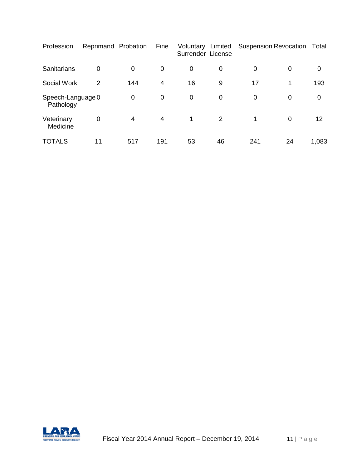| Profession                     | Reprimand Probation |     | Fine           | Voluntary Limited<br>Surrender License |             | <b>Suspension Revocation</b> |             | Total |
|--------------------------------|---------------------|-----|----------------|----------------------------------------|-------------|------------------------------|-------------|-------|
| Sanitarians                    | $\mathbf 0$         | 0   | 0              | 0                                      | 0           | 0                            | 0           | 0     |
| Social Work                    | 2                   | 144 | $\overline{4}$ | 16                                     | 9           | 17                           | 1           | 193   |
| Speech-Language 0<br>Pathology |                     | 0   | $\mathbf 0$    | $\mathbf 0$                            | $\mathbf 0$ | 0                            | 0           | 0     |
| Veterinary<br>Medicine         | 0                   | 4   | $\overline{4}$ | $\mathbf 1$                            | 2           | 1                            | $\mathbf 0$ | 12    |
| <b>TOTALS</b>                  | 11                  | 517 | 191            | 53                                     | 46          | 241                          | 24          | 1,083 |

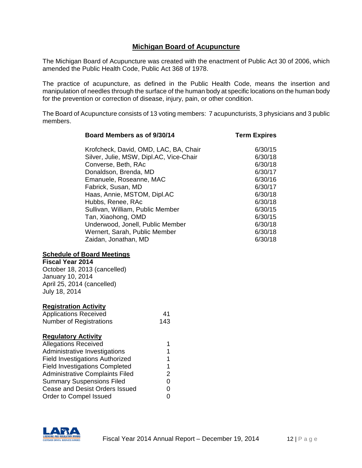# **Michigan Board of Acupuncture**

The Michigan Board of Acupuncture was created with the enactment of Public Act 30 of 2006, which amended the Public Health Code, Public Act 368 of 1978.

The practice of acupuncture, as defined in the Public Health Code, means the insertion and manipulation of needles through the surface of the human body at specific locations on the human body for the prevention or correction of disease, injury, pain, or other condition.

The Board of Acupuncture consists of 13 voting members: 7 acupuncturists, 3 physicians and 3 public members.

| Board Members as of 9/30/14             | Term Expires |
|-----------------------------------------|--------------|
| Krofcheck, David, OMD, LAC, BA, Chair   | 6/30/15      |
| Silver, Julie, MSW, Dipl.AC, Vice-Chair | 6/30/18      |
| Converse, Beth, RAc                     | 6/30/18      |
| Donaldson, Brenda, MD                   | 6/30/17      |
| Emanuele, Roseanne, MAC                 | 6/30/16      |
| Fabrick, Susan, MD                      | 6/30/17      |
| Haas, Annie, MSTOM, Dipl.AC             | 6/30/18      |
| Hubbs, Renee, RAc                       | 6/30/18      |
| Sullivan, William, Public Member        | 6/30/15      |
| Tan, Xiaohong, OMD                      | 6/30/15      |
| Underwood, Jonell, Public Member        | 6/30/18      |
| Wernert, Sarah, Public Member           | 6/30/18      |
| Zaidan, Jonathan, MD                    | 6/30/18      |

#### **Schedule of Board Meetings**

**Fiscal Year 2014** October 18, 2013 (cancelled) January 10, 2014 April 25, 2014 (cancelled) July 18, 2014

#### **Registration Activity**

| <b>Applications Received</b>   | 41  |
|--------------------------------|-----|
| <b>Number of Registrations</b> | 143 |

#### **Regulatory Activity**

| <b>Allegations Received</b>            | 1 |
|----------------------------------------|---|
| Administrative Investigations          | 1 |
| <b>Field Investigations Authorized</b> | 1 |
| <b>Field Investigations Completed</b>  | 1 |
| <b>Administrative Complaints Filed</b> | 2 |
| <b>Summary Suspensions Filed</b>       | 0 |
| Cease and Desist Orders Issued         | 0 |
| Order to Compel Issued                 | ი |
|                                        |   |

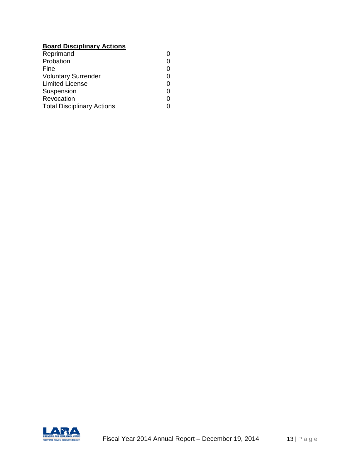# **Board Disciplinary Actions**

| Probation<br>0<br>Fine<br>0<br><b>Voluntary Surrender</b><br>0<br><b>Limited License</b><br>0<br>Suspension<br>0 |
|------------------------------------------------------------------------------------------------------------------|
|                                                                                                                  |
|                                                                                                                  |
|                                                                                                                  |
|                                                                                                                  |
|                                                                                                                  |
| Revocation<br>ი                                                                                                  |
| <b>Total Disciplinary Actions</b>                                                                                |

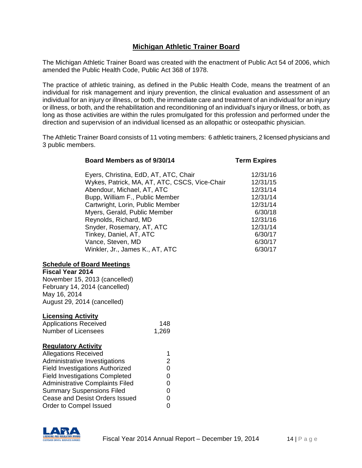# **Michigan Athletic Trainer Board**

The Michigan Athletic Trainer Board was created with the enactment of Public Act 54 of 2006, which amended the Public Health Code, Public Act 368 of 1978.

The practice of athletic training, as defined in the Public Health Code, means the treatment of an individual for risk management and injury prevention, the clinical evaluation and assessment of an individual for an injury or illness, or both, the immediate care and treatment of an individual for an injury or illness, or both, and the rehabilitation and reconditioning of an individual's injury or illness, or both, as long as those activities are within the rules promulgated for this profession and performed under the direction and supervision of an individual licensed as an allopathic or osteopathic physician.

The Athletic Trainer Board consists of 11 voting members: 6 athletic trainers, 2 licensed physicians and 3 public members.

| Board Members as of 9/30/14                                                                                                                                                                                                                                                                                                                                                            | <b>Term Expires</b>                                                                                                          |
|----------------------------------------------------------------------------------------------------------------------------------------------------------------------------------------------------------------------------------------------------------------------------------------------------------------------------------------------------------------------------------------|------------------------------------------------------------------------------------------------------------------------------|
| Eyers, Christina, EdD, AT, ATC, Chair<br>Wykes, Patrick, MA, AT, ATC, CSCS, Vice-Chair<br>Abendour, Michael, AT, ATC<br>Bupp, William F., Public Member<br>Cartwright, Lorin, Public Member<br>Myers, Gerald, Public Member<br>Reynolds, Richard, MD<br>Snyder, Rosemary, AT, ATC<br>Tinkey, Daniel, AT, ATC<br>Vance, Steven, MD<br>Winkler, Jr., James K., AT, ATC                   | 12/31/16<br>12/31/15<br>12/31/14<br>12/31/14<br>12/31/14<br>6/30/18<br>12/31/16<br>12/31/14<br>6/30/17<br>6/30/17<br>6/30/17 |
| <b>Schedule of Board Meetings</b><br><b>Fiscal Year 2014</b><br>November 15, 2013 (cancelled)<br>February 14, 2014 (cancelled)<br>May 16, 2014<br>August 29, 2014 (cancelled)                                                                                                                                                                                                          |                                                                                                                              |
| <b>Licensing Activity</b><br><b>Applications Received</b><br>148<br><b>Number of Licensees</b><br>1,269                                                                                                                                                                                                                                                                                |                                                                                                                              |
| <b>Regulatory Activity</b><br><b>Allegations Received</b><br>1<br>$\overline{2}$<br>Administrative Investigations<br><b>Field Investigations Authorized</b><br>$\mathbf 0$<br><b>Field Investigations Completed</b><br>0<br><b>Administrative Complaints Filed</b><br>0<br><b>Summary Suspensions Filed</b><br>0<br>Cease and Desist Orders Issued<br>0<br>Order to Compel Issued<br>0 |                                                                                                                              |

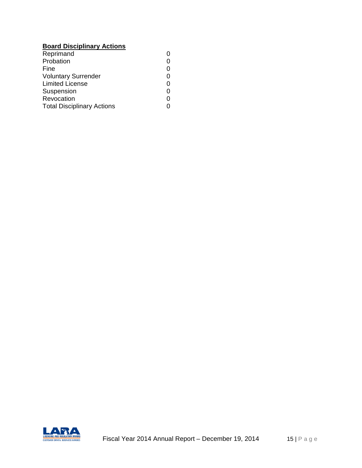# **Board Disciplinary Actions**

| Reprimand                         |   |
|-----------------------------------|---|
| Probation                         |   |
| Fine                              | 0 |
| <b>Voluntary Surrender</b>        | 0 |
| <b>Limited License</b>            | 0 |
| Suspension                        | 0 |
| Revocation                        | ი |
| <b>Total Disciplinary Actions</b> |   |

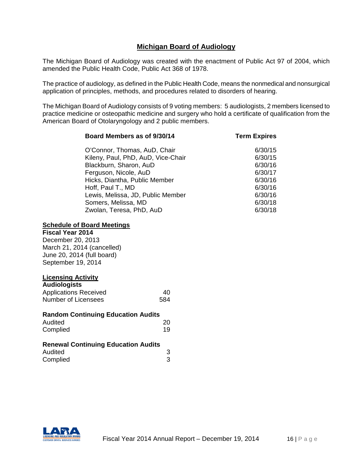# **Michigan Board of Audiology**

The Michigan Board of Audiology was created with the enactment of Public Act 97 of 2004, which amended the Public Health Code, Public Act 368 of 1978.

The practice of audiology, as defined in the Public Health Code, means the nonmedical and nonsurgical application of principles, methods, and procedures related to disorders of hearing.

The Michigan Board of Audiology consists of 9 voting members: 5 audiologists, 2 members licensed to practice medicine or osteopathic medicine and surgery who hold a certificate of qualification from the American Board of Otolaryngology and 2 public members.

| O'Connor, Thomas, AuD, Chair       | 6/30/15 |
|------------------------------------|---------|
| Kileny, Paul, PhD, AuD, Vice-Chair | 6/30/15 |
| Blackburn, Sharon, AuD             | 6/30/16 |
| Ferguson, Nicole, AuD              | 6/30/17 |
| Hicks, Diantha, Public Member      | 6/30/16 |
| Hoff, Paul T., MD                  | 6/30/16 |
| Lewis, Melissa, JD, Public Member  | 6/30/16 |
| Somers, Melissa, MD                | 6/30/18 |
| Zwolan, Teresa, PhD, AuD           | 6/30/18 |

**Board Members as of 9/30/14 Term Expires**

#### **Schedule of Board Meetings**

#### **Fiscal Year 2014**

December 20, 2013 March 21, 2014 (cancelled) June 20, 2014 (full board) September 19, 2014

#### **Licensing Activity**

| <b>Audiologists</b>          |     |
|------------------------------|-----|
| <b>Applications Received</b> | 40  |
| Number of Licensees          | 584 |

#### **Random Continuing Education Audits**

| Audited  | 20 |
|----------|----|
| Complied | 19 |

#### **Renewal Continuing Education Audits** Audited 3 Complied 3

| <b>LICENSING AND REGULATORY AFFA</b> |  |
|--------------------------------------|--|
|                                      |  |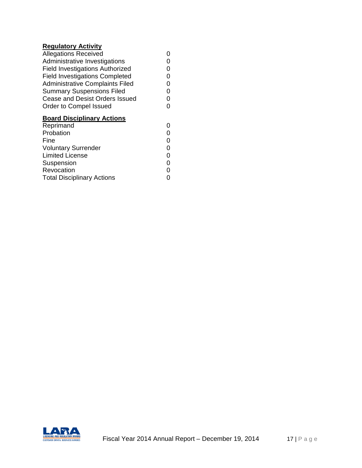# **Regulatory Activity**

| $1.99$ and $1.91$ and $1.91$           |   |
|----------------------------------------|---|
| <b>Allegations Received</b>            |   |
| Administrative Investigations          |   |
| <b>Field Investigations Authorized</b> | O |
| <b>Field Investigations Completed</b>  | O |
| <b>Administrative Complaints Filed</b> | 0 |
| <b>Summary Suspensions Filed</b>       | 0 |
| Cease and Desist Orders Issued         | 0 |
| Order to Compel Issued                 | O |
| <b>Board Disciplinary Actions</b>      |   |
| Reprimand                              | O |
| Probation                              |   |
| Fine                                   | 0 |
| <b>Voluntary Surrender</b>             | 0 |
| <b>Limited License</b>                 | 0 |
| Suspension                             | ი |
| Revocation                             |   |
| <b>Total Disciplinary Actions</b>      |   |
|                                        |   |

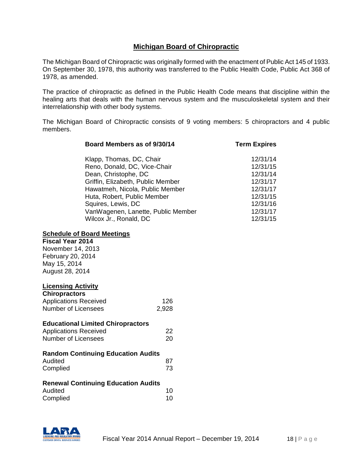# **Michigan Board of Chiropractic**

The Michigan Board of Chiropractic was originally formed with the enactment of Public Act 145 of 1933. On September 30, 1978, this authority was transferred to the Public Health Code, Public Act 368 of 1978, as amended.

The practice of chiropractic as defined in the Public Health Code means that discipline within the healing arts that deals with the human nervous system and the musculoskeletal system and their interrelationship with other body systems.

The Michigan Board of Chiropractic consists of 9 voting members: 5 chiropractors and 4 public members.

| Board Members as of 9/30/14        | <b>Term Expires</b> |
|------------------------------------|---------------------|
| Klapp, Thomas, DC, Chair           | 12/31/14            |
| Reno, Donald, DC, Vice-Chair       | 12/31/15            |
| Dean, Christophe, DC               | 12/31/14            |
| Griffin, Elizabeth, Public Member  | 12/31/17            |
| Hawatmeh, Nicola, Public Member    | 12/31/17            |
| Huta, Robert, Public Member        | 12/31/15            |
| Squires, Lewis, DC                 | 12/31/16            |
| VanWagenen, Lanette, Public Member | 12/31/17            |
| Wilcox Jr., Ronald, DC             | 12/31/15            |

#### **Schedule of Board Meetings**

# **Fiscal Year 2014**

November 14, 2013 February 20, 2014 May 15, 2014 August 28, 2014

#### **Licensing Activity**

| <b>Chiropractors</b>         |       |
|------------------------------|-------|
| <b>Applications Received</b> | 126   |
| Number of Licensees          | 2,928 |

#### **Educational Limited Chiropractors**

| <b>Applications Received</b> | 22 |
|------------------------------|----|
| Number of Licensees          | 20 |

| Audited  | 87 |
|----------|----|
| Complied | 73 |

### **Renewal Continuing Education Audits**

| Audited  | 10 |
|----------|----|
| Complied | 10 |

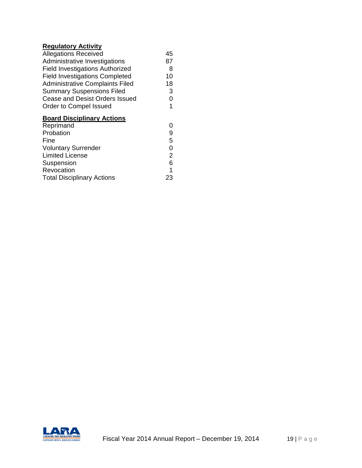## **Regulatory Activity**

| noguialory Aduvity                     |     |
|----------------------------------------|-----|
| <b>Allegations Received</b>            | 45  |
| Administrative Investigations          | 87  |
| <b>Field Investigations Authorized</b> | 8   |
| <b>Field Investigations Completed</b>  | 10  |
| <b>Administrative Complaints Filed</b> | 18  |
| <b>Summary Suspensions Filed</b>       | 3   |
| Cease and Desist Orders Issued         | 0   |
| Order to Compel Issued                 | 1   |
| <b>Board Disciplinary Actions</b>      |     |
| Reprimand                              | 0   |
| Probation                              | 9   |
| Fine                                   | 5   |
| <b>Voluntary Surrender</b>             | 0   |
| <b>Limited License</b>                 | 2   |
| Suspension                             | 6   |
| Revocation                             | 1   |
| <b>Total Disciplinary Actions</b>      | 23. |

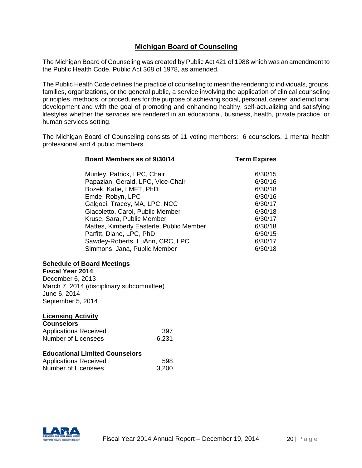# **Michigan Board of Counseling**

The Michigan Board of Counseling was created by Public Act 421 of 1988 which was an amendment to the Public Health Code, Public Act 368 of 1978, as amended.

The Public Health Code defines the practice of counseling to mean the rendering to individuals, groups, families, organizations, or the general public, a service involving the application of clinical counseling principles, methods, or procedures for the purpose of achieving social, personal, career, and emotional development and with the goal of promoting and enhancing healthy, self-actualizing and satisfying lifestyles whether the services are rendered in an educational, business, health, private practice, or human services setting.

The Michigan Board of Counseling consists of 11 voting members: 6 counselors, 1 mental health professional and 4 public members.

| Board Members as of 9/30/14              | <b>Term Expires</b> |
|------------------------------------------|---------------------|
| Munley, Patrick, LPC, Chair              | 6/30/15             |
| Papazian, Gerald, LPC, Vice-Chair        | 6/30/16             |
| Bozek, Katie, LMFT, PhD                  | 6/30/18             |
| Emde, Robyn, LPC                         | 6/30/16             |
| Galgoci, Tracey, MA, LPC, NCC            | 6/30/17             |
| Giacoletto, Carol, Public Member         | 6/30/18             |
| Kruse, Sara, Public Member               | 6/30/17             |
| Mattes, Kimberly Easterle, Public Member | 6/30/18             |
| Parfitt, Diane, LPC, PhD                 | 6/30/15             |
| Sawdey-Roberts, LuAnn, CRC, LPC          | 6/30/17             |
| Simmons, Jana, Public Member             | 6/30/18             |

#### **Schedule of Board Meetings**

**Fiscal Year 2014** December 6, 2013 March 7, 2014 (disciplinary subcommittee) June 6, 2014 September 5, 2014

### **Licensing Activity**

| <b>Counselors</b>            |       |
|------------------------------|-------|
| <b>Applications Received</b> | 397   |
| Number of Licensees          | 6,231 |

### **Educational Limited Counselors**

| Applications Received | 598   |
|-----------------------|-------|
| Number of Licensees   | 3,200 |

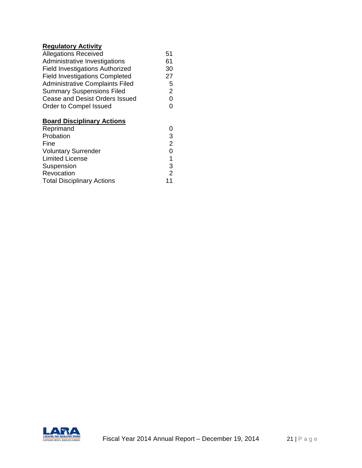### **Regulatory Activity**

| <b>Allegations Received</b>            | 51 |
|----------------------------------------|----|
| Administrative Investigations          | 61 |
| <b>Field Investigations Authorized</b> | 30 |
| <b>Field Investigations Completed</b>  | 27 |
| <b>Administrative Complaints Filed</b> | 5  |
| <b>Summary Suspensions Filed</b>       | 2  |
| Cease and Desist Orders Issued         | ი  |
| Order to Compel Issued                 | ი  |
|                                        |    |

# **Board Disciplinary Actions**

| Reprimand                          |        |
|------------------------------------|--------|
| Probation                          | 3      |
| Fine<br><b>Voluntary Surrender</b> | 2<br>0 |
|                                    |        |
| Suspension                         | 3      |
| Revocation                         | 2      |
| <b>Total Disciplinary Actions</b>  | 11     |

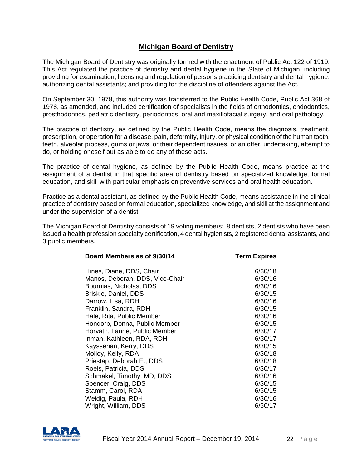# **Michigan Board of Dentistry**

The Michigan Board of Dentistry was originally formed with the enactment of Public Act 122 of 1919. This Act regulated the practice of dentistry and dental hygiene in the State of Michigan, including providing for examination, licensing and regulation of persons practicing dentistry and dental hygiene; authorizing dental assistants; and providing for the discipline of offenders against the Act.

On September 30, 1978, this authority was transferred to the Public Health Code, Public Act 368 of 1978, as amended, and included certification of specialists in the fields of orthodontics, endodontics, prosthodontics, pediatric dentistry, periodontics, oral and maxillofacial surgery, and oral pathology.

The practice of dentistry, as defined by the Public Health Code, means the diagnosis, treatment, prescription, or operation for a disease, pain, deformity, injury, or physical condition of the human tooth, teeth, alveolar process, gums or jaws, or their dependent tissues, or an offer, undertaking, attempt to do, or holding oneself out as able to do any of these acts.

The practice of dental hygiene, as defined by the Public Health Code, means practice at the assignment of a dentist in that specific area of dentistry based on specialized knowledge, formal education, and skill with particular emphasis on preventive services and oral health education.

Practice as a dental assistant, as defined by the Public Health Code, means assistance in the clinical practice of dentistry based on formal education, specialized knowledge, and skill at the assignment and under the supervision of a dentist.

The Michigan Board of Dentistry consists of 19 voting members: 8 dentists, 2 dentists who have been issued a health profession specialty certification, 4 dental hygienists, 2 registered dental assistants, and 3 public members.

| <b>Term Expires</b> |
|---------------------|
| 6/30/18             |
| 6/30/16             |
| 6/30/16             |
| 6/30/15             |
| 6/30/16             |
| 6/30/15             |
| 6/30/16             |
| 6/30/15             |
| 6/30/17             |
| 6/30/17             |
| 6/30/15             |
| 6/30/18             |
| 6/30/18             |
| 6/30/17             |
| 6/30/16             |
| 6/30/15             |
| 6/30/15             |
| 6/30/16             |
| 6/30/17             |
|                     |

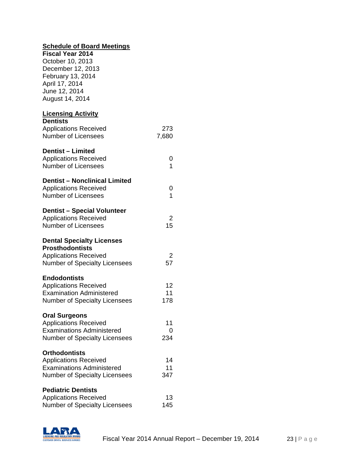| <b>Schedule of Board Meetings</b>    |         |
|--------------------------------------|---------|
| <b>Fiscal Year 2014</b>              |         |
| October 10, 2013                     |         |
| December 12, 2013                    |         |
| February 13, 2014                    |         |
| April 17, 2014                       |         |
| June 12, 2014                        |         |
| August 14, 2014                      |         |
| <b>Licensing Activity</b>            |         |
| <b>Dentists</b>                      |         |
| <b>Applications Received</b>         | 273     |
| <b>Number of Licensees</b>           | 7,680   |
| <b>Dentist - Limited</b>             |         |
| <b>Applications Received</b>         | 0       |
| <b>Number of Licensees</b>           | 1       |
| <b>Dentist - Nonclinical Limited</b> |         |
| <b>Applications Received</b>         | 0       |
| Number of Licensees                  | 1       |
|                                      |         |
| <b>Dentist - Special Volunteer</b>   |         |
| <b>Applications Received</b>         | 2<br>15 |
| <b>Number of Licensees</b>           |         |
| <b>Dental Specialty Licenses</b>     |         |
| <b>Prosthodontists</b>               |         |
| <b>Applications Received</b>         | 2       |
| <b>Number of Specialty Licensees</b> | 57      |
| <b>Endodontists</b>                  |         |
| <b>Applications Received</b>         | 12      |
| <b>Examination Administered</b>      | 11      |
| <b>Number of Specialty Licensees</b> | 178     |
| <b>Oral Surgeons</b>                 |         |
| <b>Applications Received</b>         | 11      |
| <b>Examinations Administered</b>     | 0       |
| <b>Number of Specialty Licensees</b> | 234     |
| <b>Orthodontists</b>                 |         |
| <b>Applications Received</b>         | 14      |
| <b>Examinations Administered</b>     | 11      |
| <b>Number of Specialty Licensees</b> | 347     |
| <b>Pediatric Dentists</b>            |         |
| <b>Applications Received</b>         | 13      |
| <b>Number of Specialty Licensees</b> | 145     |
|                                      |         |

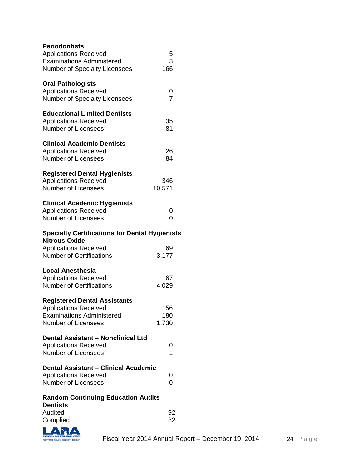| <b>Periodontists</b><br><b>Applications Received</b>                          | 5                   |
|-------------------------------------------------------------------------------|---------------------|
| <b>Examinations Administered</b><br><b>Number of Specialty Licensees</b>      | 3<br>166            |
| <b>Oral Pathologists</b>                                                      |                     |
| <b>Applications Received</b><br><b>Number of Specialty Licensees</b>          | 0<br>$\overline{7}$ |
| <b>Educational Limited Dentists</b>                                           |                     |
| <b>Applications Received</b>                                                  | 35                  |
| <b>Number of Licensees</b>                                                    | 81                  |
| <b>Clinical Academic Dentists</b>                                             |                     |
| <b>Applications Received</b>                                                  | 26                  |
| <b>Number of Licensees</b>                                                    | 84                  |
| <b>Registered Dental Hygienists</b>                                           |                     |
| <b>Applications Received</b>                                                  | 346                 |
| <b>Number of Licensees</b>                                                    | 10,571              |
| <b>Clinical Academic Hygienists</b>                                           |                     |
| <b>Applications Received</b>                                                  | 0                   |
| <b>Number of Licensees</b>                                                    | 0                   |
|                                                                               |                     |
| <b>Specialty Certifications for Dental Hygienists</b><br><b>Nitrous Oxide</b> |                     |
| <b>Applications Received</b>                                                  | 69                  |
| <b>Number of Certifications</b>                                               | 3,177               |
| <b>Local Anesthesia</b>                                                       |                     |
| <b>Applications Received</b>                                                  | 67                  |
| <b>Number of Certifications</b>                                               | 4,029               |
| <b>Registered Dental Assistants</b>                                           |                     |
| <b>Applications Received</b>                                                  | 156                 |
| <b>Examinations Administered</b>                                              | 180                 |
| <b>Number of Licensees</b>                                                    | 1,730               |
| <b>Dental Assistant - Nonclinical Ltd</b>                                     |                     |
| <b>Applications Received</b>                                                  | 0                   |
| <b>Number of Licensees</b>                                                    | 1                   |
| <b>Dental Assistant - Clinical Academic</b>                                   |                     |
| <b>Applications Received</b>                                                  | 0                   |
| <b>Number of Licensees</b>                                                    | 0                   |
| <b>Random Continuing Education Audits</b>                                     |                     |
| <b>Dentists</b><br>Audited                                                    | 92                  |

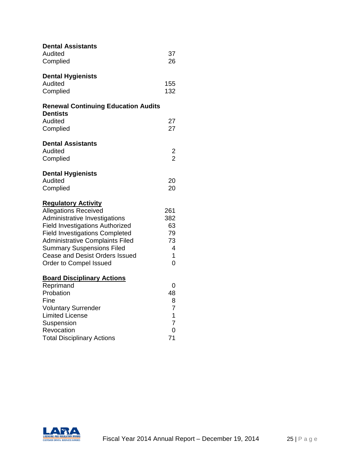| <b>Dental Assistants</b>                                           |                      |
|--------------------------------------------------------------------|----------------------|
| Audited                                                            | 37                   |
| Complied                                                           | 26                   |
| <b>Dental Hygienists</b>                                           |                      |
| Audited                                                            | 155                  |
| Complied                                                           | 132                  |
| <b>Renewal Continuing Education Audits</b>                         |                      |
| <b>Dentists</b>                                                    |                      |
| Audited                                                            | 27<br>27             |
| Complied                                                           |                      |
| <b>Dental Assistants</b>                                           |                      |
| Audited                                                            | $\frac{2}{2}$        |
| Complied                                                           |                      |
| <b>Dental Hygienists</b>                                           |                      |
| Audited                                                            | 20                   |
| Complied                                                           | 20                   |
| <b>Regulatory Activity</b>                                         |                      |
| <b>Allegations Received</b>                                        | 261                  |
| Administrative Investigations                                      | 382                  |
| <b>Field Investigations Authorized</b>                             | 63                   |
| <b>Field Investigations Completed</b>                              | 79                   |
| <b>Administrative Complaints Filed</b>                             | 73<br>$\overline{4}$ |
| <b>Summary Suspensions Filed</b><br>Cease and Desist Orders Issued | 1                    |
| Order to Compel Issued                                             | 0                    |
|                                                                    |                      |
| <b>Board Disciplinary Actions</b>                                  |                      |
| Reprimand<br>Probation                                             | 0                    |
| Fine                                                               | 48<br>8              |
| <b>Voluntary Surrender</b>                                         | 7                    |
| <b>Limited License</b>                                             | $\mathbf{1}$         |
| Suspension                                                         | 7                    |
| Revocation                                                         | 0                    |
| <b>Total Disciplinary Actions</b>                                  | 71                   |

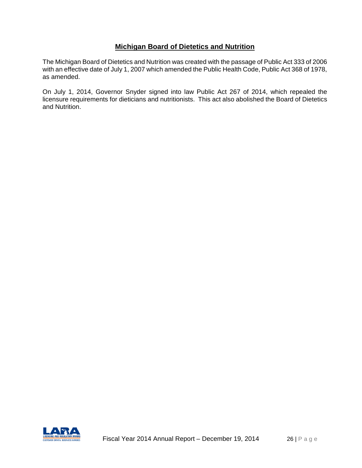# **Michigan Board of Dietetics and Nutrition**

The Michigan Board of Dietetics and Nutrition was created with the passage of Public Act 333 of 2006 with an effective date of July 1, 2007 which amended the Public Health Code, Public Act 368 of 1978, as amended.

On July 1, 2014, Governor Snyder signed into law Public Act 267 of 2014, which repealed the licensure requirements for dieticians and nutritionists. This act also abolished the Board of Dietetics and Nutrition.

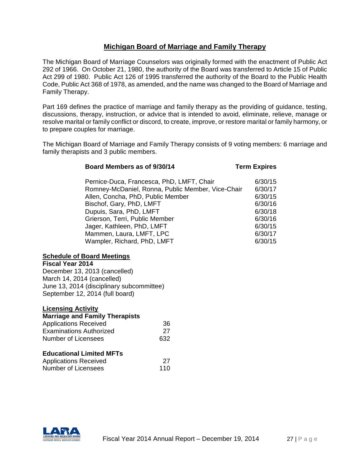### **Michigan Board of Marriage and Family Therapy**

The Michigan Board of Marriage Counselors was originally formed with the enactment of Public Act 292 of 1966. On October 21, 1980, the authority of the Board was transferred to Article 15 of Public Act 299 of 1980. Public Act 126 of 1995 transferred the authority of the Board to the Public Health Code, Public Act 368 of 1978, as amended, and the name was changed to the Board of Marriage and Family Therapy.

Part 169 defines the practice of marriage and family therapy as the providing of guidance, testing, discussions, therapy, instruction, or advice that is intended to avoid, eliminate, relieve, manage or resolve marital or family conflict or discord, to create, improve, or restore marital or family harmony, or to prepare couples for marriage.

The Michigan Board of Marriage and Family Therapy consists of 9 voting members: 6 marriage and family therapists and 3 public members.

| Board Members as of 9/30/14                       | <b>Term Expires</b> |
|---------------------------------------------------|---------------------|
| Pernice-Duca, Francesca, PhD, LMFT, Chair         | 6/30/15             |
| Romney-McDaniel, Ronna, Public Member, Vice-Chair | 6/30/17             |
| Allen, Concha, PhD, Public Member                 | 6/30/15             |
| Bischof, Gary, PhD, LMFT                          | 6/30/16             |
| Dupuis, Sara, PhD, LMFT                           | 6/30/18             |
| Grierson, Terri, Public Member                    | 6/30/16             |
| Jager, Kathleen, PhD, LMFT                        | 6/30/15             |
| Mammen, Laura, LMFT, LPC                          | 6/30/17             |
| Wampler, Richard, PhD, LMFT                       | 6/30/15             |

#### **Schedule of Board Meetings**

**Fiscal Year 2014** December 13, 2013 (cancelled) March 14, 2014 (cancelled) June 13, 2014 (disciplinary subcommittee) September 12, 2014 (full board)

# **Licensing Activity Marriage and Family Therapists** Applications Received 36 Examinations Authorized 27 Number of Licensees 632 **Educational Limited MFTs**

| <b>Applications Received</b> | 27  |
|------------------------------|-----|
| <b>Number of Licensees</b>   | 110 |

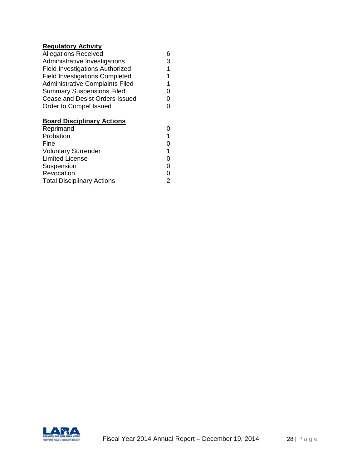# **Regulatory Activity**

| <b>Allegations Received</b>            | 6 |
|----------------------------------------|---|
| Administrative Investigations          | 3 |
| <b>Field Investigations Authorized</b> | 1 |
| <b>Field Investigations Completed</b>  | 1 |
| <b>Administrative Complaints Filed</b> | 1 |
| <b>Summary Suspensions Filed</b>       | O |
| Cease and Desist Orders Issued         | O |
| Order to Compel Issued                 | O |
| <b>Board Disciplinary Actions</b>      |   |
| Reprimand                              |   |

| Probation                         |   |
|-----------------------------------|---|
| Fine                              | 0 |
| <b>Voluntary Surrender</b>        |   |
| <b>Limited License</b>            | 0 |
| Suspension                        | 0 |
| Revocation                        | 0 |
| <b>Total Disciplinary Actions</b> | 2 |
|                                   |   |

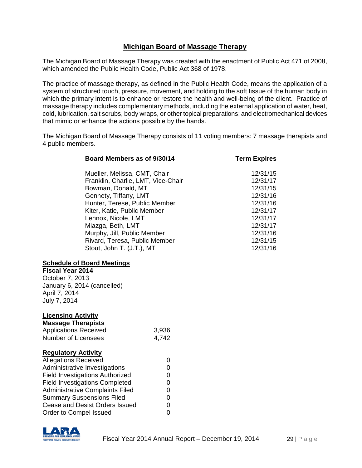# **Michigan Board of Massage Therapy**

The Michigan Board of Massage Therapy was created with the enactment of Public Act 471 of 2008, which amended the Public Health Code, Public Act 368 of 1978.

The practice of massage therapy, as defined in the Public Health Code, means the application of a system of structured touch, pressure, movement, and holding to the soft tissue of the human body in which the primary intent is to enhance or restore the health and well-being of the client. Practice of massage therapy includes complementary methods, including the external application of water, heat, cold, lubrication, salt scrubs, body wraps, or other topical preparations; and electromechanical devices that mimic or enhance the actions possible by the hands.

The Michigan Board of Massage Therapy consists of 11 voting members: 7 massage therapists and 4 public members.

| Board Members as of 9/30/14            |             | <b>Term Expires</b> |
|----------------------------------------|-------------|---------------------|
| Mueller, Melissa, CMT, Chair           |             | 12/31/15            |
| Franklin, Charlie, LMT, Vice-Chair     |             | 12/31/17            |
| Bowman, Donald, MT                     |             | 12/31/15            |
| Gennety, Tiffany, LMT                  |             | 12/31/16            |
| Hunter, Terese, Public Member          |             | 12/31/16            |
| Kiter, Katie, Public Member            |             | 12/31/17            |
| Lennox, Nicole, LMT                    |             | 12/31/17            |
| Miazga, Beth, LMT                      |             | 12/31/17            |
| Murphy, Jill, Public Member            |             | 12/31/16            |
| Rivard, Teresa, Public Member          |             | 12/31/15            |
| Stout, John T. (J.T.), MT              |             | 12/31/16            |
| <b>Schedule of Board Meetings</b>      |             |                     |
| <b>Fiscal Year 2014</b>                |             |                     |
| October 7, 2013                        |             |                     |
| January 6, 2014 (cancelled)            |             |                     |
| April 7, 2014                          |             |                     |
| July 7, 2014                           |             |                     |
| <b>Licensing Activity</b>              |             |                     |
| <b>Massage Therapists</b>              |             |                     |
| <b>Applications Received</b>           | 3,936       |                     |
| <b>Number of Licensees</b>             | 4,742       |                     |
| <b>Regulatory Activity</b>             |             |                     |
| <b>Allegations Received</b>            | 0           |                     |
| Administrative Investigations          | 0           |                     |
| <b>Field Investigations Authorized</b> | 0           |                     |
| <b>Field Investigations Completed</b>  | 0           |                     |
| <b>Administrative Complaints Filed</b> | 0           |                     |
| <b>Summary Suspensions Filed</b>       | $\mathbf 0$ |                     |
| Cease and Desist Orders Issued         | $\mathbf 0$ |                     |
| Order to Compel Issued                 | $\mathbf 0$ |                     |

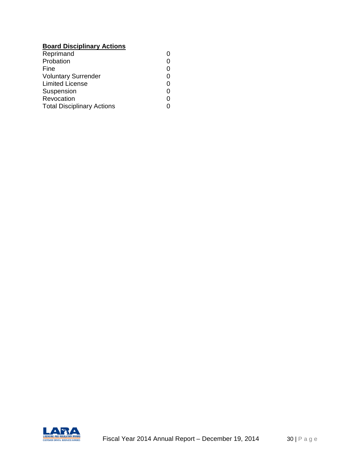# **Board Disciplinary Actions**

| Reprimand                         |   |
|-----------------------------------|---|
| Probation                         |   |
| Fine                              | 0 |
| <b>Voluntary Surrender</b>        | 0 |
| <b>Limited License</b>            | 0 |
| Suspension                        | 0 |
| Revocation                        | ი |
| <b>Total Disciplinary Actions</b> |   |

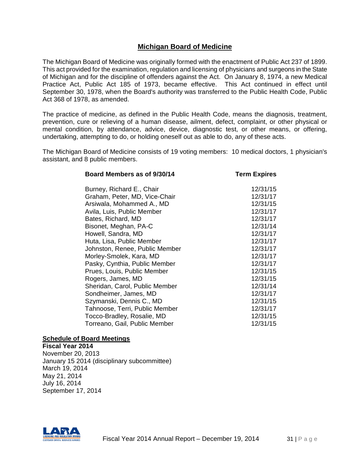## **Michigan Board of Medicine**

The Michigan Board of Medicine was originally formed with the enactment of Public Act 237 of 1899. This act provided for the examination, regulation and licensing of physicians and surgeons in the State of Michigan and for the discipline of offenders against the Act. On January 8, 1974, a new Medical Practice Act, Public Act 185 of 1973, became effective. This Act continued in effect until September 30, 1978, when the Board's authority was transferred to the Public Health Code, Public Act 368 of 1978, as amended.

The practice of medicine, as defined in the Public Health Code, means the diagnosis, treatment, prevention, cure or relieving of a human disease, ailment, defect, complaint, or other physical or mental condition, by attendance, advice, device, diagnostic test, or other means, or offering, undertaking, attempting to do, or holding oneself out as able to do, any of these acts.

The Michigan Board of Medicine consists of 19 voting members: 10 medical doctors, 1 physician's assistant, and 8 public members.

### **Schedule of Board Meetings**

**Fiscal Year 2014** November 20, 2013 January 15 2014 (disciplinary subcommittee) March 19, 2014 May 21, 2014 July 16, 2014 September 17, 2014

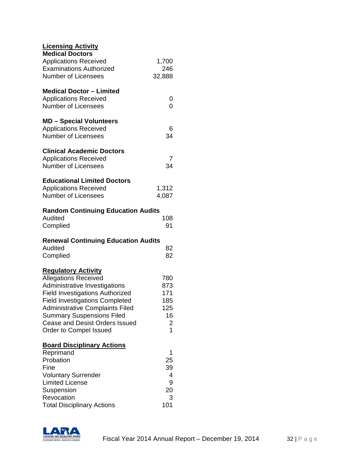| <b>Licensing Activity</b>                       |                |
|-------------------------------------------------|----------------|
| <b>Medical Doctors</b>                          |                |
| <b>Applications Received</b>                    | 1,700          |
| <b>Examinations Authorized</b>                  | 246            |
| <b>Number of Licensees</b>                      | 32,888         |
|                                                 |                |
| <b>Medical Doctor - Limited</b>                 |                |
| <b>Applications Received</b>                    | 0              |
| <b>Number of Licensees</b>                      | 0              |
| <b>MD - Special Volunteers</b>                  |                |
| <b>Applications Received</b>                    | 6              |
| <b>Number of Licensees</b>                      | 34             |
|                                                 |                |
| <b>Clinical Academic Doctors</b>                |                |
| <b>Applications Received</b>                    | 7              |
| <b>Number of Licensees</b>                      | 34             |
| <b>Educational Limited Doctors</b>              |                |
| <b>Applications Received</b>                    | 1,312          |
| <b>Number of Licensees</b>                      | 4,087          |
|                                                 |                |
| <b>Random Continuing Education Audits</b>       |                |
| Audited                                         | 108            |
| Complied                                        | 91             |
| <b>Renewal Continuing Education Audits</b>      |                |
| Audited                                         | 82             |
|                                                 | 82             |
| Complied                                        |                |
| <b>Regulatory Activity</b>                      |                |
| <b>Allegations Received</b>                     | 780            |
| Administrative Investigations                   | 873            |
| <b>Field Investigations Authorized</b>          | 171            |
| <b>Field Investigations Completed</b>           | 185            |
| <b>Administrative Complaints Filed</b>          | 125            |
| <b>Summary Suspensions Filed</b>                | 16             |
| <b>Cease and Desist Orders Issued</b>           | $\overline{c}$ |
| Order to Compel Issued                          | 1              |
|                                                 |                |
|                                                 |                |
| <b>Board Disciplinary Actions</b>               |                |
| Reprimand                                       | 1              |
| Probation                                       | 25             |
| Fine                                            | 39             |
| <b>Voluntary Surrender</b>                      | 4              |
| <b>Limited License</b>                          | 9              |
| Suspension                                      | 20             |
| Revocation<br><b>Total Disciplinary Actions</b> | 3<br>101       |

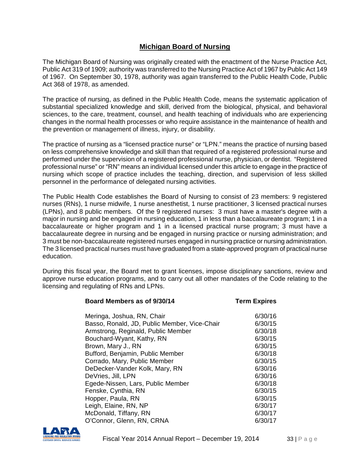# **Michigan Board of Nursing**

The Michigan Board of Nursing was originally created with the enactment of the Nurse Practice Act, Public Act 319 of 1909; authority was transferred to the Nursing Practice Act of 1967 by Public Act 149 of 1967. On September 30, 1978, authority was again transferred to the Public Health Code, Public Act 368 of 1978, as amended.

The practice of nursing, as defined in the Public Health Code, means the systematic application of substantial specialized knowledge and skill, derived from the biological, physical, and behavioral sciences, to the care, treatment, counsel, and health teaching of individuals who are experiencing changes in the normal health processes or who require assistance in the maintenance of health and the prevention or management of illness, injury, or disability.

The practice of nursing as a "licensed practice nurse" or "LPN." means the practice of nursing based on less comprehensive knowledge and skill than that required of a registered professional nurse and performed under the supervision of a registered professional nurse, physician, or dentist. "Registered professional nurse" or "RN" means an individual licensed under this article to engage in the practice of nursing which scope of practice includes the teaching, direction, and supervision of less skilled personnel in the performance of delegated nursing activities.

The Public Health Code establishes the Board of Nursing to consist of 23 members: 9 registered nurses (RNs), 1 nurse midwife, 1 nurse anesthetist, 1 nurse practitioner, 3 licensed practical nurses (LPNs), and 8 public members. Of the 9 registered nurses: 3 must have a master's degree with a major in nursing and be engaged in nursing education, 1 in less than a baccalaureate program; 1 in a baccalaureate or higher program and 1 in a licensed practical nurse program; 3 must have a baccalaureate degree in nursing and be engaged in nursing practice or nursing administration; and 3 must be non-baccalaureate registered nurses engaged in nursing practice or nursing administration. The 3 licensed practical nurses must have graduated from a state-approved program of practical nurse education.

During this fiscal year, the Board met to grant licenses, impose disciplinary sanctions, review and approve nurse education programs, and to carry out all other mandates of the Code relating to the licensing and regulating of RNs and LPNs.

| Board Members as of 9/30/14                  | <b>Term Expires</b> |
|----------------------------------------------|---------------------|
| Meringa, Joshua, RN, Chair                   | 6/30/16             |
| Basso, Ronald, JD, Public Member, Vice-Chair | 6/30/15             |
| Armstrong, Reginald, Public Member           | 6/30/18             |
| Bouchard-Wyant, Kathy, RN                    | 6/30/15             |
| Brown, Mary J., RN                           | 6/30/15             |
| Bufford, Benjamin, Public Member             | 6/30/18             |
| Corrado, Mary, Public Member                 | 6/30/15             |
| DeDecker-Vander Kolk, Mary, RN               | 6/30/16             |
| DeVries, Jill, LPN                           | 6/30/16             |
| Egede-Nissen, Lars, Public Member            | 6/30/18             |
| Fenske, Cynthia, RN                          | 6/30/15             |
| Hopper, Paula, RN                            | 6/30/15             |
| Leigh, Elaine, RN, NP                        | 6/30/17             |
| McDonald, Tiffany, RN                        | 6/30/17             |
| O'Connor, Glenn, RN, CRNA                    | 6/30/17             |

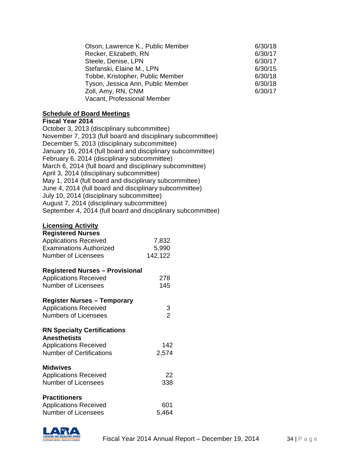| Olson, Lawrence K., Public Member | 6/30/18 |
|-----------------------------------|---------|
| Recker, Elizabeth, RN             | 6/30/17 |
| Steele, Denise, LPN               | 6/30/17 |
| Stefanski, Elaine M., LPN         | 6/30/15 |
| Tobbe, Kristopher, Public Member  | 6/30/18 |
| Tyson, Jessica Ann, Public Member | 6/30/18 |
| Zoll, Amy, RN, CNM                | 6/30/17 |
| Vacant, Professional Member       |         |

### **Schedule of Board Meetings**

#### **Fiscal Year 2014**

| October 3, 2013 (disciplinary subcommittee)                  |
|--------------------------------------------------------------|
| November 7, 2013 (full board and disciplinary subcommittee)  |
| December 5, 2013 (disciplinary subcommittee)                 |
| January 16, 2014 (full board and disciplinary subcommittee)  |
| February 6, 2014 (disciplinary subcommittee)                 |
| March 6, 2014 (full board and disciplinary subcommittee)     |
| April 3, 2014 (disciplinary subcommittee)                    |
| May 1, 2014 (full board and disciplinary subcommittee)       |
| June 4, 2014 (full board and disciplinary subcommittee)      |
| July 10, 2014 (disciplinary subcommittee)                    |
| August 7, 2014 (disciplinary subcommittee)                   |
| September 4, 2014 (full board and disciplinary subcommittee) |

# **Licensing Activity**

| <b>Registered Nurses</b>       |         |
|--------------------------------|---------|
| <b>Applications Received</b>   | 7,832   |
| <b>Examinations Authorized</b> | 5,990   |
| Number of Licensees            | 142,122 |

### **Registered Nurses – Provisional**

| <b>Applications Received</b> | 278 |
|------------------------------|-----|
| Number of Licensees          | 145 |

# **Register Nurses – Temporary**

# **RN Specialty Certifications**

| <b>Anesthetists</b>             |       |
|---------------------------------|-------|
| <b>Applications Received</b>    | 142   |
| <b>Number of Certifications</b> | 2,574 |

## **Midwives**

| <b>Applications Received</b> |     |
|------------------------------|-----|
| Number of Licensees          | 338 |

| <b>Practitioners</b>         |       |
|------------------------------|-------|
| <b>Applications Received</b> | 601   |
| Number of Licensees          | 5.464 |

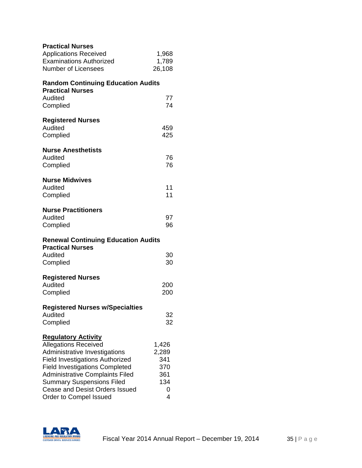| <b>Practical Nurses</b><br><b>Applications Received</b><br><b>Examinations Authorized</b><br><b>Number of Licensees</b>                                                                                                                                                                                                        | 1,968<br>1,789<br>26,108                             |
|--------------------------------------------------------------------------------------------------------------------------------------------------------------------------------------------------------------------------------------------------------------------------------------------------------------------------------|------------------------------------------------------|
| <b>Random Continuing Education Audits</b>                                                                                                                                                                                                                                                                                      |                                                      |
| <b>Practical Nurses</b><br>Audited<br>Complied                                                                                                                                                                                                                                                                                 | 77<br>74                                             |
| <b>Registered Nurses</b><br>Audited<br>Complied                                                                                                                                                                                                                                                                                | 459<br>425                                           |
| <b>Nurse Anesthetists</b><br>Audited<br>Complied                                                                                                                                                                                                                                                                               | 76<br>76                                             |
| <b>Nurse Midwives</b><br>Audited<br>Complied                                                                                                                                                                                                                                                                                   | 11<br>11                                             |
| <b>Nurse Practitioners</b><br>Audited<br>Complied                                                                                                                                                                                                                                                                              | 97<br>96                                             |
| <b>Renewal Continuing Education Audits</b><br><b>Practical Nurses</b><br>Audited<br>Complied                                                                                                                                                                                                                                   | 30<br>30                                             |
| <b>Registered Nurses</b><br>Audited<br>Complied                                                                                                                                                                                                                                                                                | 200<br>200                                           |
| <b>Registered Nurses w/Specialties</b><br>Audited<br>Complied                                                                                                                                                                                                                                                                  | 32<br>32                                             |
| <b>Regulatory Activity</b><br><b>Allegations Received</b><br>Administrative Investigations<br><b>Field Investigations Authorized</b><br><b>Field Investigations Completed</b><br><b>Administrative Complaints Filed</b><br><b>Summary Suspensions Filed</b><br><b>Cease and Desist Orders Issued</b><br>Order to Compel Issued | 1,426<br>2,289<br>341<br>370<br>361<br>134<br>0<br>4 |

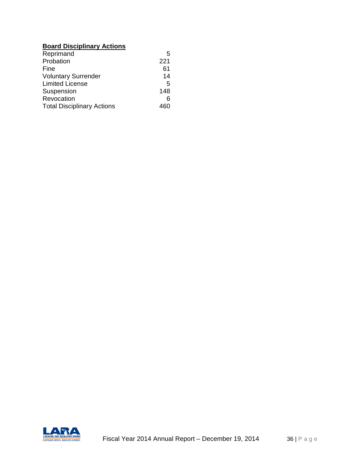# **Board Disciplinary Actions**

| Reprimand                         | 5   |
|-----------------------------------|-----|
| Probation                         | 221 |
| Fine                              | 61  |
| <b>Voluntary Surrender</b>        | 14  |
| <b>Limited License</b>            | 5   |
| Suspension                        | 148 |
| Revocation                        | 6   |
| <b>Total Disciplinary Actions</b> |     |

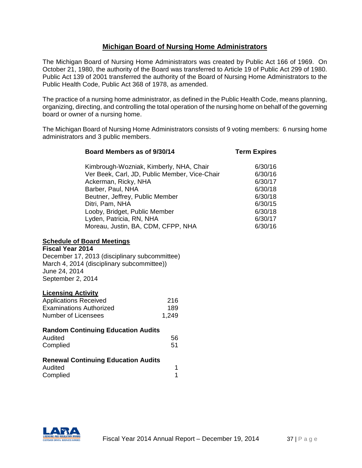## **Michigan Board of Nursing Home Administrators**

The Michigan Board of Nursing Home Administrators was created by Public Act 166 of 1969. On October 21, 1980, the authority of the Board was transferred to Article 19 of Public Act 299 of 1980. Public Act 139 of 2001 transferred the authority of the Board of Nursing Home Administrators to the Public Health Code, Public Act 368 of 1978, as amended.

The practice of a nursing home administrator, as defined in the Public Health Code, means planning, organizing, directing, and controlling the total operation of the nursing home on behalf of the governing board or owner of a nursing home.

The Michigan Board of Nursing Home Administrators consists of 9 voting members: 6 nursing home administrators and 3 public members.

| Board Members as of 9/30/14                   | <b>Term Expires</b> |
|-----------------------------------------------|---------------------|
| Kimbrough-Wozniak, Kimberly, NHA, Chair       | 6/30/16             |
| Ver Beek, Carl, JD, Public Member, Vice-Chair | 6/30/16             |
| Ackerman, Ricky, NHA                          | 6/30/17             |
| Barber, Paul, NHA                             | 6/30/18             |
| Beutner, Jeffrey, Public Member               | 6/30/18             |
| Ditri, Pam, NHA                               | 6/30/15             |
| Looby, Bridget, Public Member                 | 6/30/18             |
| Lyden, Patricia, RN, NHA                      | 6/30/17             |
| Moreau, Justin, BA, CDM, CFPP, NHA            | 6/30/16             |

## **Schedule of Board Meetings**

**Fiscal Year 2014** December 17, 2013 (disciplinary subcommittee) March 4, 2014 (disciplinary subcommittee)) June 24, 2014 September 2, 2014

#### **Licensing Activity**

| <b>Applications Received</b> | -216  |
|------------------------------|-------|
| Examinations Authorized      | 189   |
| Number of Licensees          | 1.249 |

| <b>Random Continuing Education Audits</b> |    |
|-------------------------------------------|----|
| Audited                                   | 56 |
| Complied                                  | 51 |

## **Renewal Continuing Education Audits**

| Audited  |  |
|----------|--|
| Complied |  |

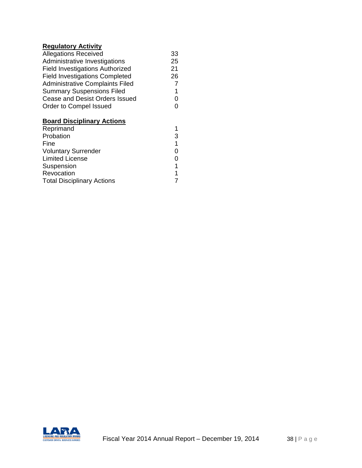# **Regulatory Activity**

| <b>Allegations Received</b>            | 33 |
|----------------------------------------|----|
| Administrative Investigations          | 25 |
| Field Investigations Authorized        | 21 |
| <b>Field Investigations Completed</b>  | 26 |
| <b>Administrative Complaints Filed</b> | 7  |
| <b>Summary Suspensions Filed</b>       | 1  |
| Cease and Desist Orders Issued         | ი  |
| Order to Compel Issued                 | ი  |
|                                        |    |

## **Board Disciplinary Actions**

| 3 |
|---|
| 1 |
| ი |
| 0 |
| 1 |
| 1 |
|   |
|   |

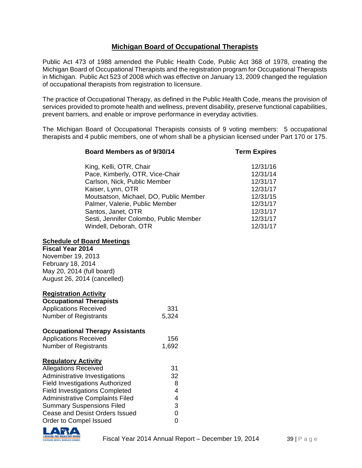# **Michigan Board of Occupational Therapists**

Public Act 473 of 1988 amended the Public Health Code, Public Act 368 of 1978, creating the Michigan Board of Occupational Therapists and the registration program for Occupational Therapists in Michigan. Public Act 523 of 2008 which was effective on January 13, 2009 changed the regulation of occupational therapists from registration to licensure.

The practice of Occupational Therapy, as defined in the Public Health Code, means the provision of services provided to promote health and wellness, prevent disability, preserve functional capabilities, prevent barriers, and enable or improve performance in everyday activities.

The Michigan Board of Occupational Therapists consists of 9 voting members: 5 occupational therapists and 4 public members, one of whom shall be a physician licensed under Part 170 or 175.

**Board Members as of 9/30/14 Term Expires**

| King, Kelli, OTR, Chair                | 12/31/16 |
|----------------------------------------|----------|
| Pace, Kimberly, OTR, Vice-Chair        | 12/31/14 |
| Carlson, Nick, Public Member           | 12/31/17 |
| Kaiser, Lynn, OTR                      | 12/31/17 |
| Moutsatson, Michael, DO, Public Member | 12/31/15 |
| Palmer, Valerie, Public Member         | 12/31/17 |
| Santos, Janet, OTR                     | 12/31/17 |
| Sesti, Jennifer Colombo, Public Member | 12/31/17 |
| Windell, Deborah, OTR                  | 12/31/17 |
|                                        |          |

## **Schedule of Board Meetings**

**Fiscal Year 2014** November 19, 2013 February 18, 2014 May 20, 2014 (full board) August 26, 2014 (cancelled)

## **Registration Activity**

| <b>Occupational Therapists</b>         |       |
|----------------------------------------|-------|
| <b>Applications Received</b>           | 331   |
| <b>Number of Registrants</b>           | 5,324 |
| <b>Occupational Therapy Assistants</b> |       |
| <b>Applications Received</b>           | 156   |
| <b>Number of Registrants</b>           | 1,692 |
| <b>Regulatory Activity</b>             |       |
| <b>Allegations Received</b>            | 31    |
| Administrative Investigations          | 32    |
| <b>Field Investigations Authorized</b> | 8     |
| <b>Field Investigations Completed</b>  | 4     |
| <b>Administrative Complaints Filed</b> | 4     |
| <b>Summary Suspensions Filed</b>       | 3     |
| Cease and Desist Orders Issued         | 0     |
| Order to Compel Issued                 | 0     |

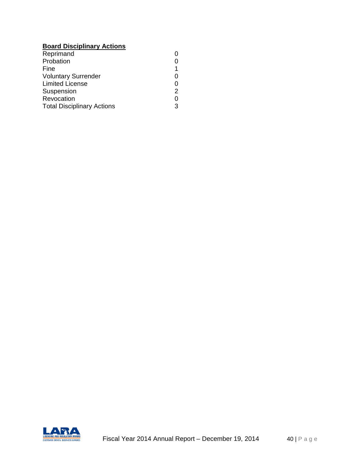# **Board Disciplinary Actions**

| Reprimand                         |   |
|-----------------------------------|---|
| Probation                         |   |
| Fine                              |   |
| <b>Voluntary Surrender</b>        |   |
| <b>Limited License</b>            | O |
| Suspension                        | 2 |
| Revocation                        | O |
| <b>Total Disciplinary Actions</b> | 3 |
|                                   |   |

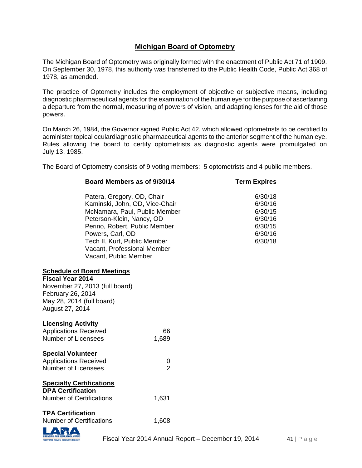# **Michigan Board of Optometry**

The Michigan Board of Optometry was originally formed with the enactment of Public Act 71 of 1909. On September 30, 1978, this authority was transferred to the Public Health Code, Public Act 368 of 1978, as amended.

The practice of Optometry includes the employment of objective or subjective means, including diagnostic pharmaceutical agents for the examination of the human eye for the purpose of ascertaining a departure from the normal, measuring of powers of vision, and adapting lenses for the aid of those powers.

On March 26, 1984, the Governor signed Public Act 42, which allowed optometrists to be certified to administer topical oculardiagnostic pharmaceutical agents to the anterior segment of the human eye. Rules allowing the board to certify optometrists as diagnostic agents were promulgated on July 13, 1985.

The Board of Optometry consists of 9 voting members: 5 optometrists and 4 public members.

|                                                                                                | Board Members as of 9/30/14                                                                                                                                                                                                                                             |                     | <b>Term Expires</b>                                                       |  |
|------------------------------------------------------------------------------------------------|-------------------------------------------------------------------------------------------------------------------------------------------------------------------------------------------------------------------------------------------------------------------------|---------------------|---------------------------------------------------------------------------|--|
|                                                                                                | Patera, Gregory, OD, Chair<br>Kaminski, John, OD, Vice-Chair<br>McNamara, Paul, Public Member<br>Peterson-Klein, Nancy, OD<br>Perino, Robert, Public Member<br>Powers, Carl, OD<br>Tech II, Kurt, Public Member<br>Vacant, Professional Member<br>Vacant, Public Member |                     | 6/30/18<br>6/30/16<br>6/30/15<br>6/30/16<br>6/30/15<br>6/30/16<br>6/30/18 |  |
| <b>Fiscal Year 2014</b><br>February 26, 2014<br>May 28, 2014 (full board)<br>August 27, 2014   | <b>Schedule of Board Meetings</b><br>November 27, 2013 (full board)                                                                                                                                                                                                     |                     |                                                                           |  |
| <b>Licensing Activity</b><br><b>Applications Received</b><br>Number of Licensees               |                                                                                                                                                                                                                                                                         | 66<br>1,689         |                                                                           |  |
| <b>Special Volunteer</b><br><b>Applications Received</b><br>Number of Licensees                |                                                                                                                                                                                                                                                                         | 0<br>$\overline{2}$ |                                                                           |  |
| <b>Specialty Certifications</b><br><b>DPA Certification</b><br><b>Number of Certifications</b> |                                                                                                                                                                                                                                                                         | 1,631               |                                                                           |  |
| <b>TPA Certification</b><br><b>Number of Certifications</b>                                    |                                                                                                                                                                                                                                                                         | 1,608               |                                                                           |  |

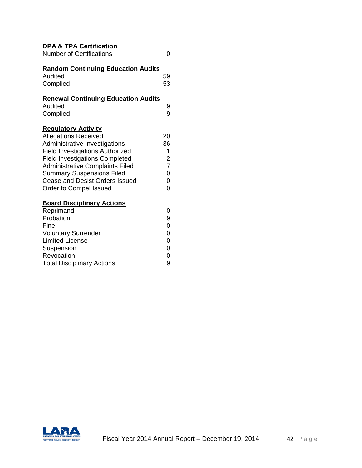| <b>DPA &amp; TPA Certification</b><br><b>Number of Certifications</b>                                                                                                                                                                                                                                                   | ი                                                                             |
|-------------------------------------------------------------------------------------------------------------------------------------------------------------------------------------------------------------------------------------------------------------------------------------------------------------------------|-------------------------------------------------------------------------------|
| <b>Random Continuing Education Audits</b><br>Audited<br>Complied                                                                                                                                                                                                                                                        | 59<br>53                                                                      |
| <b>Renewal Continuing Education Audits</b><br>Audited<br>Complied                                                                                                                                                                                                                                                       | 9<br>9                                                                        |
| <b>Regulatory Activity</b><br><b>Allegations Received</b><br>Administrative Investigations<br><b>Field Investigations Authorized</b><br><b>Field Investigations Completed</b><br><b>Administrative Complaints Filed</b><br><b>Summary Suspensions Filed</b><br>Cease and Desist Orders Issued<br>Order to Compel Issued | 20<br>36<br>1<br>$\overline{c}$<br>$\overline{7}$<br>$\overline{0}$<br>0<br>0 |
| <b>Board Disciplinary Actions</b><br>Reprimand<br>Probation<br>Fine<br><b>Voluntary Surrender</b><br><b>Limited License</b><br>Suspension<br>Revocation<br><b>Total Disciplinary Actions</b>                                                                                                                            | 0<br>9<br>$\overline{0}$<br>$\overline{0}$<br>$\overline{0}$<br>0<br>0<br>9   |

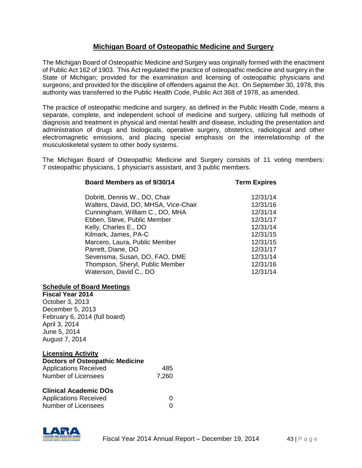## **Michigan Board of Osteopathic Medicine and Surgery**

The Michigan Board of Osteopathic Medicine and Surgery was originally formed with the enactment of Public Act 162 of 1903. This Act regulated the practice of osteopathic medicine and surgery in the State of Michigan; provided for the examination and licensing of osteopathic physicians and surgeons; and provided for the discipline of offenders against the Act. On September 30, 1978, this authority was transferred to the Public Health Code, Public Act 368 of 1978, as amended.

The practice of osteopathic medicine and surgery, as defined in the Public Health Code, means a separate, complete, and independent school of medicine and surgery, utilizing full methods of diagnosis and treatment in physical and mental health and disease, including the presentation and administration of drugs and biologicals, operative surgery, obstetrics, radiological and other electromagnetic emissions, and placing special emphasis on the interrelationship of the musculoskeletal system to other body systems.

The Michigan Board of Osteopathic Medicine and Surgery consists of 11 voting members: 7 osteopathic physicians, 1 physician's assistant, and 3 public members.

| Board Members as of 9/30/14          | <b>Term Expires</b> |
|--------------------------------------|---------------------|
| Dobritt, Dennis W., DO, Chair        | 12/31/14            |
| Walters, David, DO, MHSA, Vice-Chair | 12/31/16            |
| Cunningham, William C., DO, MHA      | 12/31/14            |
| Ebben, Steve, Public Member          | 12/31/17            |
| Kelly, Charles E., DO                | 12/31/14            |
| Kilmark, James, PA-C                 | 12/31/15            |
| Marcero, Laura, Public Member        | 12/31/15            |
| Parrett, Diane, DO                   | 12/31/17            |
| Sevensma, Susan, DO, FAO, DME        | 12/31/14            |
| Thompson, Sheryl, Public Member      | 12/31/16            |
| Waterson, David C., DO               | 12/31/14            |

#### **Schedule of Board Meetings**

**Fiscal Year 2014** October 3, 2013 December 5, 2013 February 6, 2014 (full board) April 3, 2014 June 5, 2014 August 7, 2014

## **Licensing Activity**

| <b>Doctors of Osteopathic Medicine</b> |       |  |
|----------------------------------------|-------|--|
| <b>Applications Received</b>           | 485   |  |
| Number of Licensees                    | 7.260 |  |

## **Clinical Academic DOs**

| <b>Applications Received</b> |  |
|------------------------------|--|
| Number of Licensees          |  |

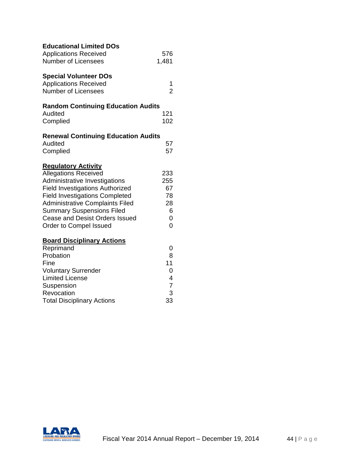| <b>Educational Limited DOs</b><br><b>Applications Received</b><br><b>Number of Licensees</b>                                                                                                                                                                                                                                   | 576<br>1,481                                                                                 |
|--------------------------------------------------------------------------------------------------------------------------------------------------------------------------------------------------------------------------------------------------------------------------------------------------------------------------------|----------------------------------------------------------------------------------------------|
| <b>Special Volunteer DOs</b><br><b>Applications Received</b><br><b>Number of Licensees</b>                                                                                                                                                                                                                                     | 1<br>$\overline{2}$                                                                          |
| <b>Random Continuing Education Audits</b><br>Audited<br>Complied                                                                                                                                                                                                                                                               | 121<br>102                                                                                   |
| <b>Renewal Continuing Education Audits</b><br>Audited<br>Complied                                                                                                                                                                                                                                                              | 57<br>57                                                                                     |
| <b>Regulatory Activity</b><br><b>Allegations Received</b><br>Administrative Investigations<br><b>Field Investigations Authorized</b><br><b>Field Investigations Completed</b><br><b>Administrative Complaints Filed</b><br><b>Summary Suspensions Filed</b><br><b>Cease and Desist Orders Issued</b><br>Order to Compel Issued | 233<br>255<br>67<br>78<br>28<br>6<br>0<br>$\overline{0}$                                     |
| <b>Board Disciplinary Actions</b><br>Reprimand<br>Probation<br>Fine<br><b>Voluntary Surrender</b><br><b>Limited License</b><br>Suspension<br>Revocation<br><b>Total Disciplinary Actions</b>                                                                                                                                   | 0<br>8<br>11<br>$\mathbf 0$<br>$\overline{4}$<br>$\begin{array}{c} 7 \\ 3 \end{array}$<br>33 |

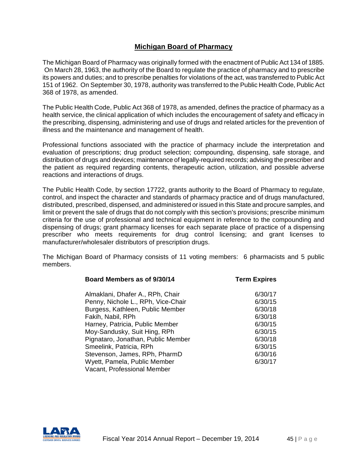# **Michigan Board of Pharmacy**

The Michigan Board of Pharmacy was originally formed with the enactment of Public Act 134 of 1885. On March 28, 1963, the authority of the Board to regulate the practice of pharmacy and to prescribe its powers and duties; and to prescribe penalties for violations of the act, was transferred to Public Act 151 of 1962. On September 30, 1978, authority was transferred to the Public Health Code, Public Act 368 of 1978, as amended.

The Public Health Code, Public Act 368 of 1978, as amended, defines the practice of pharmacy as a health service, the clinical application of which includes the encouragement of safety and efficacy in the prescribing, dispensing, administering and use of drugs and related articles for the prevention of illness and the maintenance and management of health.

Professional functions associated with the practice of pharmacy include the interpretation and evaluation of prescriptions; drug product selection; compounding, dispensing, safe storage, and distribution of drugs and devices; maintenance of legally-required records; advising the prescriber and the patient as required regarding contents, therapeutic action, utilization, and possible adverse reactions and interactions of drugs.

The Public Health Code, by section 17722, grants authority to the Board of Pharmacy to regulate, control, and inspect the character and standards of pharmacy practice and of drugs manufactured, distributed, prescribed, dispensed, and administered or issued in this State and procure samples, and limit or prevent the sale of drugs that do not comply with this section's provisions; prescribe minimum criteria for the use of professional and technical equipment in reference to the compounding and dispensing of drugs; grant pharmacy licenses for each separate place of practice of a dispensing prescriber who meets requirements for drug control licensing; and grant licenses to manufacturer/wholesaler distributors of prescription drugs.

The Michigan Board of Pharmacy consists of 11 voting members: 6 pharmacists and 5 public members.

| Term Expires |
|--------------|
| 6/30/17      |
| 6/30/15      |
| 6/30/18      |
| 6/30/18      |
| 6/30/15      |
| 6/30/15      |
| 6/30/18      |
| 6/30/15      |
| 6/30/16      |
| 6/30/17      |
|              |
|              |

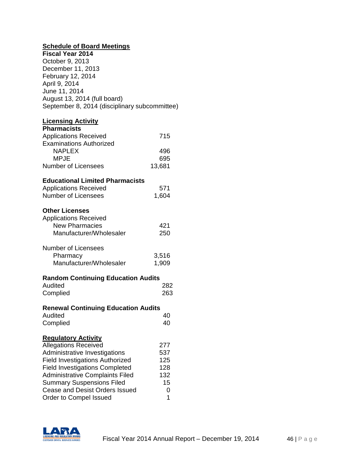# **Schedule of Board Meetings**

| <b>Fiscal Year 2014</b>                       |
|-----------------------------------------------|
| October 9, 2013                               |
| December 11, 2013                             |
| February 12, 2014                             |
| April 9, 2014                                 |
| June 11, 2014                                 |
| August 13, 2014 (full board)                  |
| September 8, 2014 (disciplinary subcommittee) |

# **Licensing Activity**

| <b>Pharmacists</b>                         |        |
|--------------------------------------------|--------|
| <b>Applications Received</b>               | 715    |
| <b>Examinations Authorized</b>             |        |
| <b>NAPLEX</b>                              | 496    |
| <b>MPJE</b>                                | 695    |
| <b>Number of Licensees</b>                 | 13,681 |
| <b>Educational Limited Pharmacists</b>     |        |
| <b>Applications Received</b>               | 571    |
| <b>Number of Licensees</b>                 | 1,604  |
| <b>Other Licenses</b>                      |        |
| <b>Applications Received</b>               |        |
| <b>New Pharmacies</b>                      | 421    |
| Manufacturer/Wholesaler                    | 250    |
| <b>Number of Licensees</b>                 |        |
| Pharmacy                                   | 3,516  |
| Manufacturer/Wholesaler                    | 1,909  |
| <b>Random Continuing Education Audits</b>  |        |
| Audited                                    | 282    |
| Complied                                   | 263    |
| <b>Renewal Continuing Education Audits</b> |        |
| Audited                                    | 40     |
| Complied                                   | 40     |
| <b>Regulatory Activity</b>                 |        |
| <b>Allegations Received</b>                | 277    |
| Administrative Investigations              | 537    |
| <b>Field Investigations Authorized</b>     | 125    |
| <b>Field Investigations Completed</b>      | 128    |
| <b>Administrative Complaints Filed</b>     | 132    |
| <b>Summary Suspensions Filed</b>           | 15     |
| Cease and Desist Orders Issued             | 0      |
| Order to Compel Issued                     | 1      |

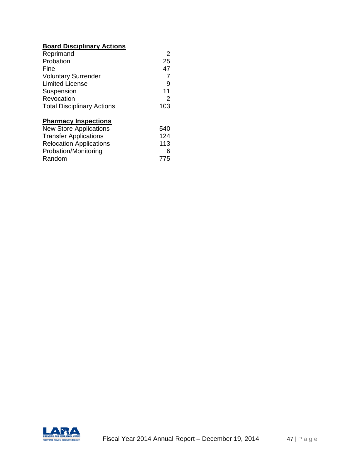# **Board Disciplinary Actions**

| Reprimand                         | 2   |
|-----------------------------------|-----|
| Probation                         | 25  |
| Fine                              | 47  |
| <b>Voluntary Surrender</b>        | 7   |
| <b>Limited License</b>            | 9   |
| Suspension                        | 11  |
| Revocation                        | 2   |
| <b>Total Disciplinary Actions</b> | 103 |
| <b>Pharmacy Inspections</b>       |     |
| <b>New Store Applications</b>     | 540 |
| <b>Transfer Applications</b>      | 124 |
| <b>Relocation Applications</b>    | 113 |
| Probation/Monitoring              | 6   |
| Random                            | 775 |

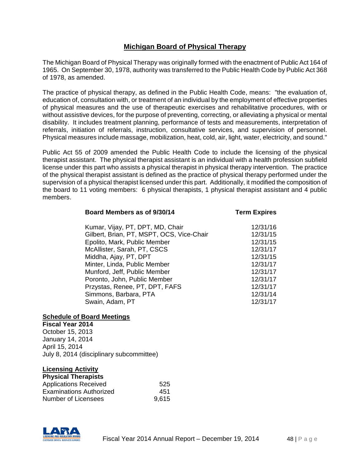# **Michigan Board of Physical Therapy**

The Michigan Board of Physical Therapy was originally formed with the enactment of Public Act 164 of 1965. On September 30, 1978, authority was transferred to the Public Health Code by Public Act 368 of 1978, as amended.

The practice of physical therapy, as defined in the Public Health Code, means: "the evaluation of, education of, consultation with, or treatment of an individual by the employment of effective properties of physical measures and the use of therapeutic exercises and rehabilitative procedures, with or without assistive devices, for the purpose of preventing, correcting, or alleviating a physical or mental disability. It includes treatment planning, performance of tests and measurements, interpretation of referrals, initiation of referrals, instruction, consultative services, and supervision of personnel. Physical measures include massage, mobilization, heat, cold, air, light, water, electricity, and sound."

Public Act 55 of 2009 amended the Public Health Code to include the licensing of the physical therapist assistant. The physical therapist assistant is an individual with a health profession subfield license under this part who assists a physical therapist in physical therapy intervention. The practice of the physical therapist assistant is defined as the practice of physical therapy performed under the supervision of a physical therapist licensed under this part. Additionally, it modified the composition of the board to 11 voting members: 6 physical therapists, 1 physical therapist assistant and 4 public members.

## **Board Members as of 9/30/14 Term Expires**

| 12/31/16 |
|----------|
| 12/31/15 |
| 12/31/15 |
| 12/31/17 |
| 12/31/15 |
| 12/31/17 |
| 12/31/17 |
| 12/31/17 |
| 12/31/17 |
| 12/31/14 |
| 12/31/17 |
|          |

#### **Schedule of Board Meetings**

**Fiscal Year 2014** October 15, 2013 January 14, 2014 April 15, 2014 July 8, 2014 (disciplinary subcommittee)

**Licensing Activity**

| <b>Physical Therapists</b>   |       |
|------------------------------|-------|
| <b>Applications Received</b> | 525   |
| Examinations Authorized      | 451   |
| Number of Licensees          | 9,615 |

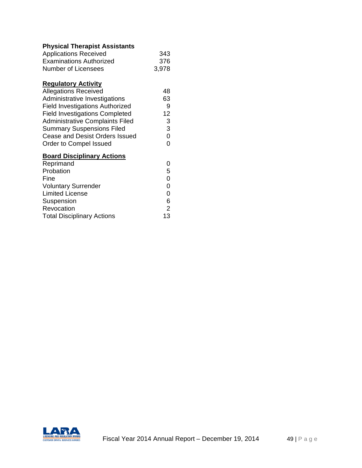# **Physical Therapist Assistants**

| <b>Applications Received</b>           | 343            |
|----------------------------------------|----------------|
| <b>Examinations Authorized</b>         | 376            |
| <b>Number of Licensees</b>             | 3,978          |
| <b>Regulatory Activity</b>             |                |
| <b>Allegations Received</b>            | 48             |
| Administrative Investigations          | 63             |
| <b>Field Investigations Authorized</b> | 9              |
| <b>Field Investigations Completed</b>  | 12             |
| <b>Administrative Complaints Filed</b> | 3              |
| <b>Summary Suspensions Filed</b>       | 3              |
| Cease and Desist Orders Issued         | $\overline{0}$ |
| Order to Compel Issued                 | 0              |
| <b>Board Disciplinary Actions</b>      |                |
| Reprimand                              | 0              |
| Probation                              | 5              |
| Fine                                   | $\mathbf 0$    |
| <b>Voluntary Surrender</b>             | 0              |
| <b>Limited License</b>                 | $\overline{0}$ |
| Suspension                             | 6              |
| Revocation                             | $\overline{2}$ |
| <b>Total Disciplinary Actions</b>      | 13             |

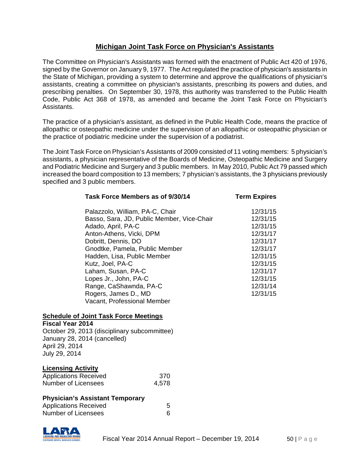# **Michigan Joint Task Force on Physician's Assistants**

The Committee on Physician's Assistants was formed with the enactment of Public Act 420 of 1976, signed by the Governor on January 9, 1977. The Act regulated the practice of physician's assistants in the State of Michigan, providing a system to determine and approve the qualifications of physician's assistants, creating a committee on physician's assistants, prescribing its powers and duties, and prescribing penalties. On September 30, 1978, this authority was transferred to the Public Health Code, Public Act 368 of 1978, as amended and became the Joint Task Force on Physician's Assistants.

The practice of a physician's assistant, as defined in the Public Health Code, means the practice of allopathic or osteopathic medicine under the supervision of an allopathic or osteopathic physician or the practice of podiatric medicine under the supervision of a podiatrist.

The Joint Task Force on Physician's Assistants of 2009 consisted of 11 voting members: 5 physician's assistants, a physician representative of the Boards of Medicine, Osteopathic Medicine and Surgery and Podiatric Medicine and Surgery and 3 public members. In May 2010, Public Act 79 passed which increased the board composition to 13 members; 7 physician's assistants, the 3 physicians previously specified and 3 public members.

| Task Force Members as of 9/30/14           | <b>Term Expires</b> |
|--------------------------------------------|---------------------|
| Palazzolo, William, PA-C, Chair            | 12/31/15            |
| Basso, Sara, JD, Public Member, Vice-Chair | 12/31/15            |
| Adado, April, PA-C                         | 12/31/15            |
| Anton-Athens, Vicki, DPM                   | 12/31/17            |
| Dobritt, Dennis, DO                        | 12/31/17            |
| Gnodtke, Pamela, Public Member             | 12/31/17            |
| Hadden, Lisa, Public Member                | 12/31/15            |
| Kutz, Joel, PA-C                           | 12/31/15            |
| Laham, Susan, PA-C                         | 12/31/17            |
| Lopes Jr., John, PA-C                      | 12/31/15            |
| Range, CaShawnda, PA-C                     | 12/31/14            |
| Rogers, James D., MD                       | 12/31/15            |
| Vacant, Professional Member                |                     |

## **Schedule of Joint Task Force Meetings**

#### **Fiscal Year 2014**

October 29, 2013 (disciplinary subcommittee) January 28, 2014 (cancelled) April 29, 2014 July 29, 2014

#### **Licensing Activity**

| <b>Applications Received</b> | 370   |
|------------------------------|-------|
| Number of Licensees          | 4,578 |

#### **Physician's Assistant Temporary**

| <b>Applications Received</b> |  |  |
|------------------------------|--|--|
| Number of Licensees          |  |  |

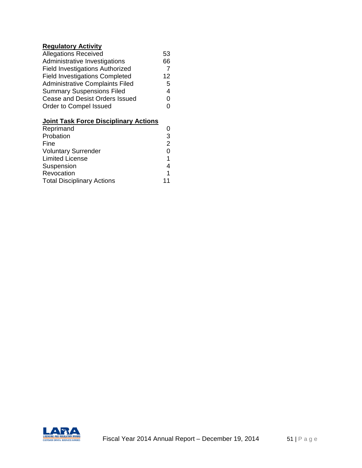# **Regulatory Activity**

| 53 |
|----|
| 66 |
|    |
| 12 |
| 5  |
| 4  |
| U  |
| U  |
|    |

# **Joint Task Force Disciplinary Actions**

| Reprimand                         |   |
|-----------------------------------|---|
| Probation                         | 3 |
| Fine                              | 2 |
| <b>Voluntary Surrender</b>        | 0 |
| <b>Limited License</b>            |   |
| Suspension                        | 4 |
| Revocation                        |   |
| <b>Total Disciplinary Actions</b> |   |
|                                   |   |

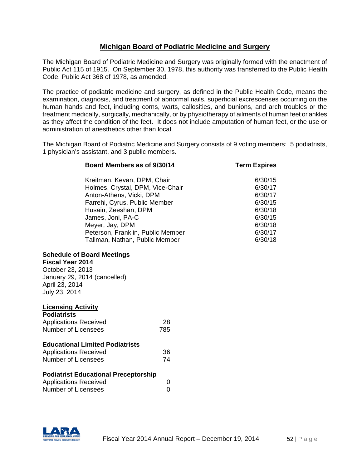# **Michigan Board of Podiatric Medicine and Surgery**

The Michigan Board of Podiatric Medicine and Surgery was originally formed with the enactment of Public Act 115 of 1915. On September 30, 1978, this authority was transferred to the Public Health Code, Public Act 368 of 1978, as amended.

The practice of podiatric medicine and surgery, as defined in the Public Health Code, means the examination, diagnosis, and treatment of abnormal nails, superficial excrescenses occurring on the human hands and feet, including corns, warts, callosities, and bunions, and arch troubles or the treatment medically, surgically, mechanically, or by physiotherapy of ailments of human feet or ankles as they affect the condition of the feet. It does not include amputation of human feet, or the use or administration of anesthetics other than local.

The Michigan Board of Podiatric Medicine and Surgery consists of 9 voting members: 5 podiatrists, 1 physician's assistant, and 3 public members.

| Board Members as of 9/30/14       | <b>Term Expires</b> |
|-----------------------------------|---------------------|
| Kreitman, Kevan, DPM, Chair       | 6/30/15             |
| Holmes, Crystal, DPM, Vice-Chair  | 6/30/17             |
| Anton-Athens, Vicki, DPM          | 6/30/17             |
| Farrehi, Cyrus, Public Member     | 6/30/15             |
| Husain, Zeeshan, DPM              | 6/30/18             |
| James, Joni, PA-C                 | 6/30/15             |
| Meyer, Jay, DPM                   | 6/30/18             |
| Peterson, Franklin, Public Member | 6/30/17             |
| Tallman, Nathan, Public Member    | 6/30/18             |

## **Schedule of Board Meetings**

**Fiscal Year 2014** October 23, 2013 January 29, 2014 (cancelled) April 23, 2014 July 23, 2014

## **Licensing Activity**

| <b>Podiatrists</b>                                                   |     |
|----------------------------------------------------------------------|-----|
| <b>Applications Received</b>                                         | 28  |
| <b>Number of Licensees</b>                                           | 785 |
| <b>Educational Limited Podiatrists</b>                               |     |
| <b>Applications Received</b>                                         | 36  |
| Number of Licensees                                                  | 74  |
| <b>Podiatrist Educational Preceptorship</b><br>Applications Received |     |

| <b>Applications Received</b> |  |  |
|------------------------------|--|--|
| Number of Licensees          |  |  |

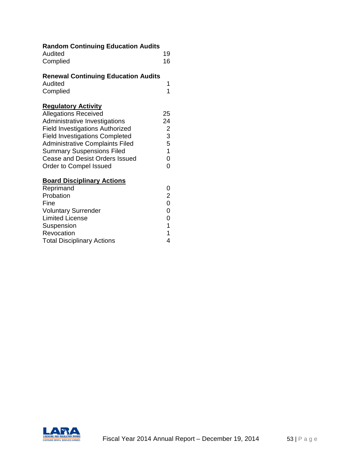| <b>Random Continuing Education Audits</b><br>Audited | 19                                         |
|------------------------------------------------------|--------------------------------------------|
|                                                      |                                            |
| Complied                                             | 16                                         |
| <b>Renewal Continuing Education Audits</b>           |                                            |
| Audited                                              | 1                                          |
| Complied                                             | 1                                          |
| <b>Regulatory Activity</b>                           |                                            |
| <b>Allegations Received</b>                          | 25                                         |
| Administrative Investigations                        | 24                                         |
| <b>Field Investigations Authorized</b>               | $\overline{\mathbf{c}}$                    |
| <b>Field Investigations Completed</b>                | 3                                          |
| <b>Administrative Complaints Filed</b>               | 5                                          |
| <b>Summary Suspensions Filed</b>                     | $\mathbf{1}$                               |
| <b>Cease and Desist Orders Issued</b>                | $\overline{0}$                             |
| Order to Compel Issued                               | $\overline{0}$                             |
| <b>Board Disciplinary Actions</b>                    |                                            |
| Reprimand                                            | 0                                          |
| Probation                                            | $\overline{c}$                             |
| Fine                                                 | $\overline{0}$                             |
| <b>Voluntary Surrender</b>                           | $\overline{0}$                             |
| <b>Limited License</b>                               | $\begin{array}{c} 0 \\ 1 \\ 1 \end{array}$ |
| Suspension                                           |                                            |
| Revocation                                           |                                            |
| <b>Total Disciplinary Actions</b>                    | 4                                          |

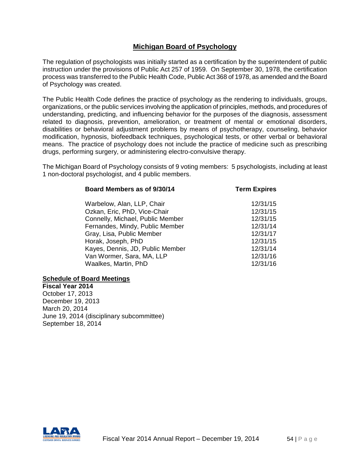# **Michigan Board of Psychology**

The regulation of psychologists was initially started as a certification by the superintendent of public instruction under the provisions of Public Act 257 of 1959. On September 30, 1978, the certification process was transferred to the Public Health Code, Public Act 368 of 1978, as amended and the Board of Psychology was created.

The Public Health Code defines the practice of psychology as the rendering to individuals, groups, organizations, or the public services involving the application of principles, methods, and procedures of understanding, predicting, and influencing behavior for the purposes of the diagnosis, assessment related to diagnosis, prevention, amelioration, or treatment of mental or emotional disorders, disabilities or behavioral adjustment problems by means of psychotherapy, counseling, behavior modification, hypnosis, biofeedback techniques, psychological tests, or other verbal or behavioral means. The practice of psychology does not include the practice of medicine such as prescribing drugs, performing surgery, or administering electro-convulsive therapy.

The Michigan Board of Psychology consists of 9 voting members: 5 psychologists, including at least 1 non-doctoral psychologist, and 4 public members.

| Board Members as of 9/30/14      | <b>Term Expires</b> |
|----------------------------------|---------------------|
| Warbelow, Alan, LLP, Chair       | 12/31/15            |
| Ozkan, Eric, PhD, Vice-Chair     | 12/31/15            |
| Connelly, Michael, Public Member | 12/31/15            |
| Fernandes, Mindy, Public Member  | 12/31/14            |
| Gray, Lisa, Public Member        | 12/31/17            |
| Horak, Joseph, PhD               | 12/31/15            |
| Kayes, Dennis, JD, Public Member | 12/31/14            |
| Van Wormer, Sara, MA, LLP        | 12/31/16            |
| Waalkes, Martin, PhD             | 12/31/16            |

#### **Schedule of Board Meetings**

**Fiscal Year 2014** October 17, 2013 December 19, 2013 March 20, 2014 June 19, 2014 (disciplinary subcommittee) September 18, 2014

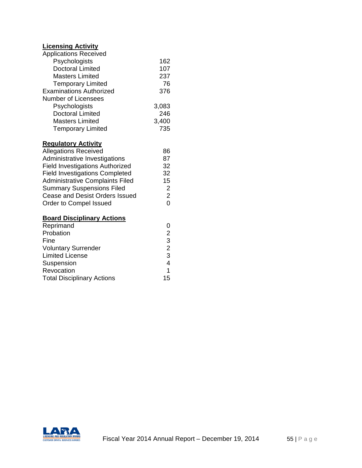# **Licensing Activity**

| <b>Applications Received</b>           |       |
|----------------------------------------|-------|
| Psychologists                          | 162   |
| <b>Doctoral Limited</b>                | 107   |
| Masters Limited                        | 237   |
| <b>Temporary Limited</b>               | 76    |
| <b>Examinations Authorized</b>         | 376   |
| <b>Number of Licensees</b>             |       |
| Psychologists                          | 3,083 |
| <b>Doctoral Limited</b>                | 246   |
| Masters Limited                        | 3,400 |
| <b>Temporary Limited</b>               | 735   |
| <b>Regulatory Activity</b>             |       |
| <b>Allegations Received</b>            | 86    |
| Administrative Investigations          | 87    |
| <b>Field Investigations Authorized</b> | 32    |

| <b>Field Investigations Completed</b>  | 32 |
|----------------------------------------|----|
| <b>Administrative Complaints Filed</b> | 15 |
| <b>Summary Suspensions Filed</b>       |    |
| Cease and Desist Orders Issued         | 2  |
| Order to Compel Issued                 | O  |
| <b>Board Disciplinary Actions</b>      |    |
| Reprimand                              |    |

| <b>Neprification</b>              |    |
|-----------------------------------|----|
| Probation                         | 2  |
| Fine                              | 3  |
| <b>Voluntary Surrender</b>        | 2  |
| <b>Limited License</b>            | 3  |
| Suspension                        | 4  |
| Revocation                        | 1. |
| <b>Total Disciplinary Actions</b> | 15 |
|                                   |    |

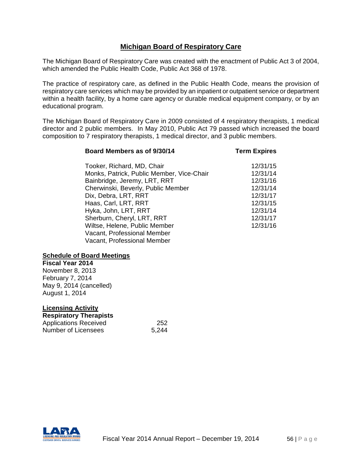# **Michigan Board of Respiratory Care**

The Michigan Board of Respiratory Care was created with the enactment of Public Act 3 of 2004, which amended the Public Health Code, Public Act 368 of 1978.

The practice of respiratory care, as defined in the Public Health Code, means the provision of respiratory care services which may be provided by an inpatient or outpatient service or department within a health facility, by a home care agency or durable medical equipment company, or by an educational program.

The Michigan Board of Respiratory Care in 2009 consisted of 4 respiratory therapists, 1 medical director and 2 public members. In May 2010, Public Act 79 passed which increased the board composition to 7 respiratory therapists, 1 medical director, and 3 public members.

#### **Board Members as of 9/30/14 Term Expires**

| Tooker, Richard, MD, Chair                | 12/31/15 |
|-------------------------------------------|----------|
| Monks, Patrick, Public Member, Vice-Chair | 12/31/14 |
| Bainbridge, Jeremy, LRT, RRT              | 12/31/16 |
| Cherwinski, Beverly, Public Member        | 12/31/14 |
| Dix, Debra, LRT, RRT                      | 12/31/17 |
| Haas, Carl, LRT, RRT                      | 12/31/15 |
| Hyka, John, LRT, RRT                      | 12/31/14 |
| Sherburn, Cheryl, LRT, RRT                | 12/31/17 |
| Wiltse, Helene, Public Member             | 12/31/16 |
| Vacant, Professional Member               |          |
| Vacant, Professional Member               |          |

## **Schedule of Board Meetings**

**Fiscal Year 2014** November 8, 2013 February 7, 2014 May 9, 2014 (cancelled) August 1, 2014

| <b>Licensing Activity</b>     |       |
|-------------------------------|-------|
| <b>Respiratory Therapists</b> |       |
| <b>Applications Received</b>  | 252   |
| Number of Licensees           | 5,244 |

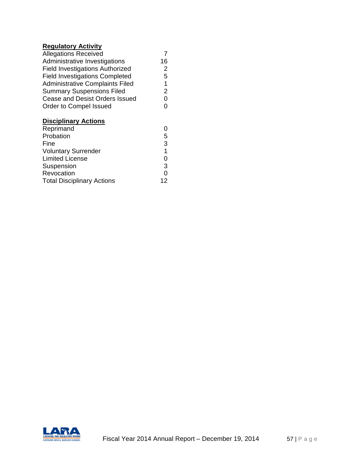# **Regulatory Activity**

| <b>Allegations Received</b>            |                |
|----------------------------------------|----------------|
| Administrative Investigations          | 16             |
| <b>Field Investigations Authorized</b> | 2              |
| <b>Field Investigations Completed</b>  | 5              |
| <b>Administrative Complaints Filed</b> | 1              |
| <b>Summary Suspensions Filed</b>       | 2              |
| <b>Cease and Desist Orders Issued</b>  | 0              |
| Order to Compel Issued                 | 0              |
| <b>Disciplinary Actions</b>            |                |
| Reprimand                              |                |
| Probation                              | 5              |
| Fine                                   | 3              |
| <b>Voluntary Surrender</b>             | $\overline{1}$ |
| <b>Limited License</b>                 | 0              |
| Suspension                             | 3              |
| Revocation                             | 0              |
| <b>Total Disciplinary Actions</b>      | 12             |
|                                        |                |

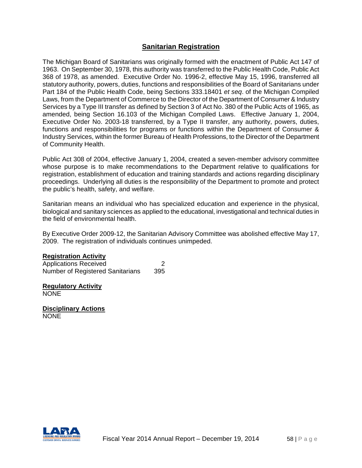# **Sanitarian Registration**

The Michigan Board of Sanitarians was originally formed with the enactment of Public Act 147 of 1963. On September 30, 1978, this authority was transferred to the Public Health Code, Public Act 368 of 1978, as amended. Executive Order No. 1996-2, effective May 15, 1996, transferred all statutory authority, powers, duties, functions and responsibilities of the Board of Sanitarians under Part 184 of the Public Health Code, being Sections 333.18401 *et seq*. of the Michigan Compiled Laws, from the Department of Commerce to the Director of the Department of Consumer & Industry Services by a Type III transfer as defined by Section 3 of Act No. 380 of the Public Acts of 1965, as amended, being Section 16.103 of the Michigan Compiled Laws. Effective January 1, 2004, Executive Order No. 2003-18 transferred, by a Type II transfer, any authority, powers, duties, functions and responsibilities for programs or functions within the Department of Consumer & Industry Services, within the former Bureau of Health Professions, to the Director of the Department of Community Health.

Public Act 308 of 2004, effective January 1, 2004, created a seven-member advisory committee whose purpose is to make recommendations to the Department relative to qualifications for registration, establishment of education and training standards and actions regarding disciplinary proceedings. Underlying all duties is the responsibility of the Department to promote and protect the public's health, safety, and welfare.

Sanitarian means an individual who has specialized education and experience in the physical, biological and sanitary sciences as applied to the educational, investigational and technical duties in the field of environmental health.

By Executive Order 2009-12, the Sanitarian Advisory Committee was abolished effective May 17, 2009. The registration of individuals continues unimpeded.

#### **Registration Activity**

Applications Received 2 Number of Registered Sanitarians 395

**Regulatory Activity** NONE

**Disciplinary Actions NONE** 

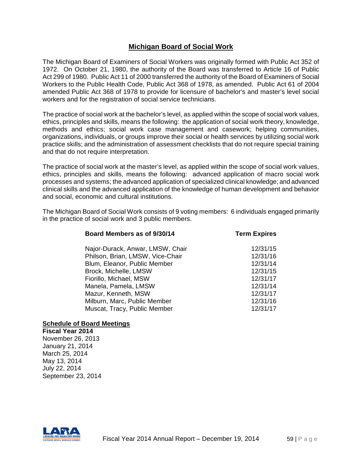# **Michigan Board of Social Work**

The Michigan Board of Examiners of Social Workers was originally formed with Public Act 352 of 1972. On October 21, 1980, the authority of the Board was transferred to Article 16 of Public Act 299 of 1980. Public Act 11 of 2000 transferred the authority of the Board of Examiners of Social Workers to the Public Health Code, Public Act 368 of 1978, as amended. Public Act 61 of 2004 amended Public Act 368 of 1978 to provide for licensure of bachelor's and master's level social workers and for the registration of social service technicians.

The practice of social work at the bachelor's level, as applied within the scope of social work values, ethics, principles and skills, means the following: the application of social work theory, knowledge, methods and ethics; social work case management and casework; helping communities, organizations, individuals, or groups improve their social or health services by utilizing social work practice skills; and the administration of assessment checklists that do not require special training and that do not require interpretation.

The practice of social work at the master's level, as applied within the scope of social work values, ethics, principles and skills, means the following: advanced application of macro social work processes and systems; the advanced application of specialized clinical knowledge; and advanced clinical skills and the advanced application of the knowledge of human development and behavior and social, economic and cultural institutions.

The Michigan Board of Social Work consists of 9 voting members: 6 individuals engaged primarily in the practice of social work and 3 public members.

| <b>Term Expires</b> |
|---------------------|
| 12/31/15            |
| 12/31/16            |
| 12/31/14            |
| 12/31/15            |
| 12/31/17            |
| 12/31/14            |
| 12/31/17            |
| 12/31/16            |
| 12/31/17            |
|                     |

## **Schedule of Board Meetings**

**Fiscal Year 2014** November 26, 2013 January 21, 2014 March 25, 2014 May 13, 2014 July 22, 2014 September 23, 2014

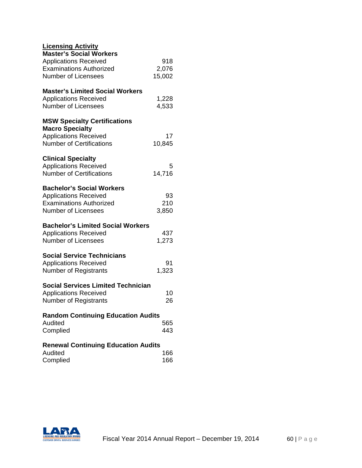| <b>Licensing Activity</b><br><b>Master's Social Workers</b> |        |
|-------------------------------------------------------------|--------|
| <b>Applications Received</b>                                | 918    |
| <b>Examinations Authorized</b>                              | 2,076  |
| <b>Number of Licensees</b>                                  | 15,002 |
|                                                             |        |
| <b>Master's Limited Social Workers</b>                      |        |
| <b>Applications Received</b>                                | 1,228  |
| Number of Licensees                                         | 4,533  |
| <b>MSW Specialty Certifications</b>                         |        |
| <b>Macro Specialty</b>                                      |        |
| <b>Applications Received</b>                                | 17     |
| <b>Number of Certifications</b>                             | 10,845 |
|                                                             |        |
| <b>Clinical Specialty</b>                                   |        |
| <b>Applications Received</b>                                | 5      |
| <b>Number of Certifications</b>                             | 14,716 |
| <b>Bachelor's Social Workers</b>                            |        |
| <b>Applications Received</b>                                | 93     |
| <b>Examinations Authorized</b>                              | 210    |
| <b>Number of Licensees</b>                                  | 3,850  |
|                                                             |        |
| <b>Bachelor's Limited Social Workers</b>                    |        |
| <b>Applications Received</b>                                | 437    |
| <b>Number of Licensees</b>                                  | 1,273  |
| <b>Social Service Technicians</b>                           |        |
| <b>Applications Received</b>                                | 91     |
| <b>Number of Registrants</b>                                | 1,323  |
|                                                             |        |
| <b>Social Services Limited Technician</b>                   |        |
| <b>Applications Received</b>                                | 10     |
| <b>Number of Registrants</b>                                | 26     |
| <b>Random Continuing Education Audits</b>                   |        |
| Audited                                                     | 565    |
| Complied                                                    | 443    |
|                                                             |        |
| <b>Renewal Continuing Education Audits</b>                  |        |
| Audited                                                     | 166    |
| Complied                                                    | 166    |

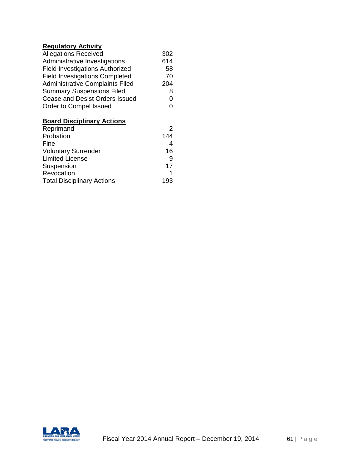## **Regulatory Activity**

| <b>Allegations Received</b>            | 302 |
|----------------------------------------|-----|
| Administrative Investigations          | 614 |
| <b>Field Investigations Authorized</b> | 58  |
| <b>Field Investigations Completed</b>  | 70  |
| <b>Administrative Complaints Filed</b> | 204 |
| <b>Summary Suspensions Filed</b>       | 8   |
| Cease and Desist Orders Issued         | 0   |
| Order to Compel Issued                 | 0   |
| <b>Board Disciplinary Actions</b>      |     |
| Reprimand                              | 2   |
| Drohotion                              |     |

| Probation                         | 144 |
|-----------------------------------|-----|
| Fine                              |     |
| <b>Voluntary Surrender</b>        | 16  |
| <b>Limited License</b>            | 9   |
| Suspension                        | 17  |
| Revocation                        |     |
| <b>Total Disciplinary Actions</b> | 193 |
|                                   |     |

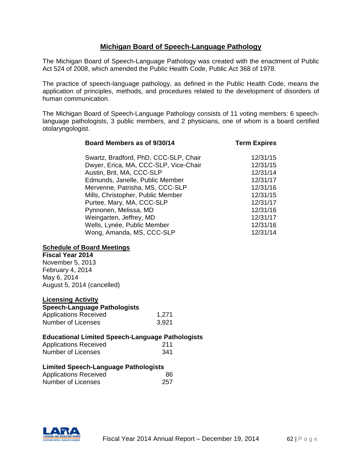# **Michigan Board of Speech-Language Pathology**

The Michigan Board of Speech-Language Pathology was created with the enactment of Public Act 524 of 2008, which amended the Public Health Code, Public Act 368 of 1978.

The practice of speech-language pathology, as defined in the Public Health Code, means the application of principles, methods, and procedures related to the development of disorders of human communication.

The Michigan Board of Speech-Language Pathology consists of 11 voting members: 6 speechlanguage pathologists, 3 public members, and 2 physicians, one of whom is a board certified otolaryngologist.

**Board Members as of 9/30/14 Term Expires**

| Swartz, Bradford, PhD, CCC-SLP, Chair | 12/31/15 |
|---------------------------------------|----------|
| Dwyer, Erica, MA, CCC-SLP, Vice-Chair | 12/31/15 |
| Austin, Brit, MA, CCC-SLP             | 12/31/14 |
| Edmunds, Janelle, Public Member       | 12/31/17 |
| Mervenne, Patrisha, MS, CCC-SLP       | 12/31/16 |
| Mills, Christopher, Public Member     | 12/31/15 |
| Purtee, Mary, MA, CCC-SLP             | 12/31/17 |
| Pynnonen, Melissa, MD                 | 12/31/16 |
| Weingarten, Jeffrey, MD               | 12/31/17 |
| Wells, Lynée, Public Member           | 12/31/16 |
| Wong, Amanda, MS, CCC-SLP             | 12/31/14 |

#### **Schedule of Board Meetings**

**Fiscal Year 2014** November 5, 2013

February 4, 2014 May 6, 2014 August 5, 2014 (cancelled)

## **Licensing Activity**

| <b>Speech-Language Pathologists</b> |       |
|-------------------------------------|-------|
| <b>Applications Received</b>        | 1,271 |
| Number of Licenses                  | 3,921 |

#### **Educational Limited Speech-Language Pathologists**

| <b>Applications Received</b> | 211 |
|------------------------------|-----|
| Number of Licenses           | 341 |

## **Limited Speech-Language Pathologists**

| 86  |  |
|-----|--|
| 257 |  |
|     |  |

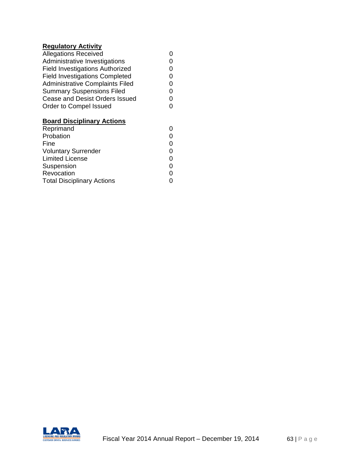## **Regulatory Activity**

| <b>Allegations Received</b>            | 0 |
|----------------------------------------|---|
| Administrative Investigations          | 0 |
| Field Investigations Authorized        | 0 |
| <b>Field Investigations Completed</b>  | 0 |
| <b>Administrative Complaints Filed</b> | 0 |
| <b>Summary Suspensions Filed</b>       | ი |
| <b>Cease and Desist Orders Issued</b>  | ი |
| Order to Compel Issued                 | 0 |
|                                        |   |

# **Board Disciplinary Actions**

| Reprimand                         | 0 |
|-----------------------------------|---|
| Probation                         | 0 |
| Fine                              | 0 |
| <b>Voluntary Surrender</b>        | 0 |
| <b>Limited License</b>            | ი |
| Suspension                        | 0 |
| Revocation                        | 0 |
| <b>Total Disciplinary Actions</b> | ი |

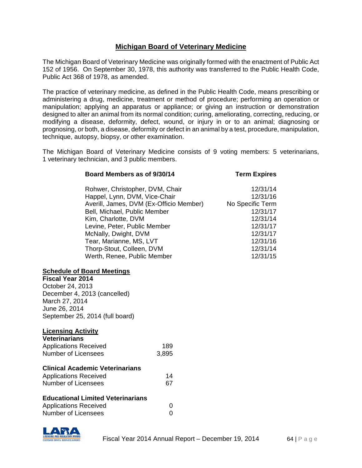# **Michigan Board of Veterinary Medicine**

The Michigan Board of Veterinary Medicine was originally formed with the enactment of Public Act 152 of 1956. On September 30, 1978, this authority was transferred to the Public Health Code, Public Act 368 of 1978, as amended.

The practice of veterinary medicine, as defined in the Public Health Code, means prescribing or administering a drug, medicine, treatment or method of procedure; performing an operation or manipulation; applying an apparatus or appliance; or giving an instruction or demonstration designed to alter an animal from its normal condition; curing, ameliorating, correcting, reducing, or modifying a disease, deformity, defect, wound, or injury in or to an animal; diagnosing or prognosing, or both, a disease, deformity or defect in an animal by a test, procedure, manipulation, technique, autopsy, biopsy, or other examination.

The Michigan Board of Veterinary Medicine consists of 9 voting members: 5 veterinarians, 1 veterinary technician, and 3 public members.

| Board Members as of 9/30/14             | <b>Term Expires</b> |
|-----------------------------------------|---------------------|
| Rohwer, Christopher, DVM, Chair         | 12/31/14            |
| Happel, Lynn, DVM, Vice-Chair           | 12/31/16            |
| Averill, James, DVM (Ex-Officio Member) | No Specific Term    |
| Bell, Michael, Public Member            | 12/31/17            |
| Kim, Charlotte, DVM                     | 12/31/14            |
| Levine, Peter, Public Member            | 12/31/17            |
| McNally, Dwight, DVM                    | 12/31/17            |
| Tear, Marianne, MS, LVT                 | 12/31/16            |
| Thorp-Stout, Colleen, DVM               | 12/31/14            |
| Werth, Renee, Public Member             | 12/31/15            |
|                                         |                     |

#### **Schedule of Board Meetings**

**Fiscal Year 2014** October 24, 2013 December 4, 2013 (cancelled) March 27, 2014 June 26, 2014 September 25, 2014 (full board)

#### **Licensing Activity**

| <b>Veterinarians</b>                   |       |
|----------------------------------------|-------|
| <b>Applications Received</b>           | 189   |
| <b>Number of Licensees</b>             | 3,895 |
| <b>Clinical Academic Veterinarians</b> |       |
| <b>Applications Received</b>           | 14    |
| Number of Licensees                    | 67    |

## **Educational Limited Veterinarians**

| <b>Applications Received</b> |  |
|------------------------------|--|
| <b>Number of Licensees</b>   |  |

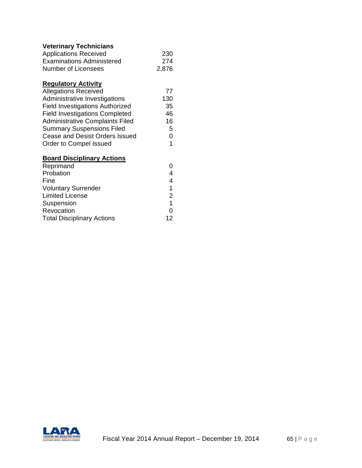# **Veterinary Technicians**

| <b>Applications Received</b>     | -230  |
|----------------------------------|-------|
| <b>Examinations Administered</b> | 274   |
| Number of Licensees              | 2,876 |

# **Regulatory Activity**

| <b>Allegations Received</b>            | 77  |
|----------------------------------------|-----|
| Administrative Investigations          | 130 |
| <b>Field Investigations Authorized</b> | 35  |
| <b>Field Investigations Completed</b>  | 46  |
| <b>Administrative Complaints Filed</b> | 16  |
| <b>Summary Suspensions Filed</b>       | 5   |
| Cease and Desist Orders Issued         | 0   |
| Order to Compel Issued                 | 1.  |

# **Board Disciplinary Actions**

| Reprimand                         | 0  |
|-----------------------------------|----|
| Probation                         | 4  |
| Fine                              | 4  |
| <b>Voluntary Surrender</b>        | 1  |
| <b>Limited License</b>            | 2  |
| Suspension                        | 1  |
| Revocation                        | ი  |
| <b>Total Disciplinary Actions</b> | 12 |

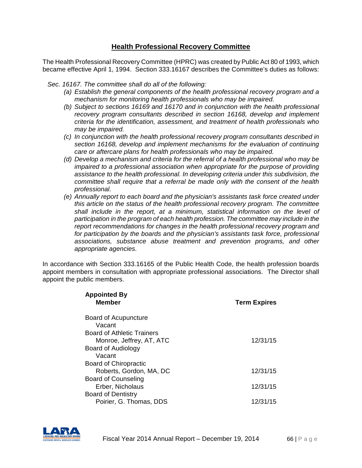# **Health Professional Recovery Committee**

The Health Professional Recovery Committee (HPRC) was created by Public Act 80 of 1993, which became effective April 1, 1994. Section 333.16167 describes the Committee's duties as follows:

 *Sec. 16167. The committee shall do all of the following:*

- *(a) Establish the general components of the health professional recovery program and a mechanism for monitoring health professionals who may be impaired.*
- *(b) Subject to sections 16169 and 16170 and in conjunction with the health professional recovery program consultants described in section 16168, develop and implement criteria for the identification, assessment, and treatment of health professionals who may be impaired.*
- *(c) In conjunction with the health professional recovery program consultants described in section 16168, develop and implement mechanisms for the evaluation of continuing care or aftercare plans for health professionals who may be impaired.*
- *(d) Develop a mechanism and criteria for the referral of a health professional who may be impaired to a professional association when appropriate for the purpose of providing assistance to the health professional. In developing criteria under this subdivision, the committee shall require that a referral be made only with the consent of the health professional.*
- *(e) Annually report to each board and the physician's assistants task force created under this article on the status of the health professional recovery program. The committee shall include in the report, at a minimum, statistical information on the level of participation in the program of each health profession. The committee may include in the report recommendations for changes in the health professional recovery program and for participation by the boards and the physician's assistants task force, professional associations, substance abuse treatment and prevention programs, and other appropriate agencies.*

In accordance with Section 333.16165 of the Public Health Code, the health profession boards appoint members in consultation with appropriate professional associations. The Director shall appoint the public members.

| <b>Appointed By</b><br><b>Member</b> | <b>Term Expires</b> |
|--------------------------------------|---------------------|
| Board of Acupuncture                 |                     |
| Vacant                               |                     |
| <b>Board of Athletic Trainers</b>    |                     |
| Monroe, Jeffrey, AT, ATC             | 12/31/15            |
| Board of Audiology                   |                     |
| Vacant                               |                     |
| <b>Board of Chiropractic</b>         |                     |
| Roberts, Gordon, MA, DC              | 12/31/15            |
| Board of Counseling                  |                     |
| Erber, Nicholaus                     | 12/31/15            |
| <b>Board of Dentistry</b>            |                     |
| Poirier, G. Thomas, DDS              | 12/31/15            |

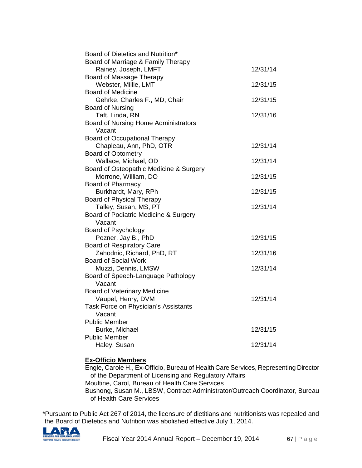| Board of Dietetics and Nutrition*                         |          |
|-----------------------------------------------------------|----------|
| Board of Marriage & Family Therapy                        |          |
| Rainey, Joseph, LMFT                                      | 12/31/14 |
| Board of Massage Therapy<br>Webster, Millie, LMT          | 12/31/15 |
| <b>Board of Medicine</b>                                  |          |
| Gehrke, Charles F., MD, Chair                             | 12/31/15 |
| <b>Board of Nursing</b>                                   |          |
| Taft, Linda, RN                                           | 12/31/16 |
| Board of Nursing Home Administrators                      |          |
| Vacant                                                    |          |
| <b>Board of Occupational Therapy</b>                      |          |
| Chapleau, Ann, PhD, OTR                                   | 12/31/14 |
| <b>Board of Optometry</b>                                 |          |
| Wallace, Michael, OD                                      | 12/31/14 |
| Board of Osteopathic Medicine & Surgery                   |          |
| Morrone, William, DO                                      | 12/31/15 |
| <b>Board of Pharmacy</b>                                  |          |
| Burkhardt, Mary, RPh                                      | 12/31/15 |
| <b>Board of Physical Therapy</b>                          |          |
| Talley, Susan, MS, PT                                     | 12/31/14 |
| Board of Podiatric Medicine & Surgery                     |          |
| Vacant                                                    |          |
| <b>Board of Psychology</b>                                |          |
| Pozner, Jay B., PhD                                       | 12/31/15 |
| <b>Board of Respiratory Care</b>                          |          |
| Zahodnic, Richard, PhD, RT<br><b>Board of Social Work</b> | 12/31/16 |
| Muzzi, Dennis, LMSW                                       | 12/31/14 |
| Board of Speech-Language Pathology                        |          |
| Vacant                                                    |          |
| <b>Board of Veterinary Medicine</b>                       |          |
| Vaupel, Henry, DVM                                        | 12/31/14 |
| Task Force on Physician's Assistants                      |          |
| Vacant                                                    |          |
| <b>Public Member</b>                                      |          |
| Burke, Michael                                            | 12/31/15 |
| <b>Public Member</b>                                      |          |
| Haley, Susan                                              | 12/31/14 |

## **Ex-Officio Members**

Engle, Carole H., Ex-Officio, Bureau of Health Care Services, Representing Director of the Department of Licensing and Regulatory Affairs Moultine, Carol, Bureau of Health Care Services Bushong, Susan M., LBSW, Contract Administrator/Outreach Coordinator, Bureau of Health Care Services

\*Pursuant to Public Act 267 of 2014, the licensure of dietitians and nutritionists was repealed and the Board of Dietetics and Nutrition was abolished effective July 1, 2014.

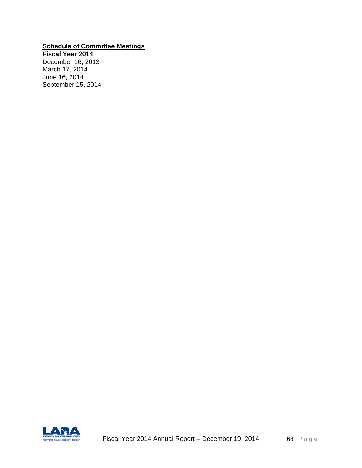## **Schedule of Committee Meetings**

**Fiscal Year 2014** December 16, 2013 March 17, 2014 June 16, 2014 September 15, 2014

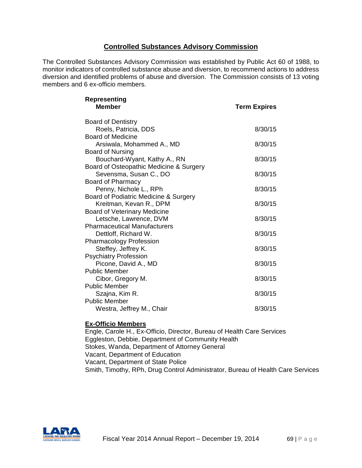## **Controlled Substances Advisory Commission**

The Controlled Substances Advisory Commission was established by Public Act 60 of 1988, to monitor indicators of controlled substance abuse and diversion, to recommend actions to address diversion and identified problems of abuse and diversion. The Commission consists of 13 voting members and 6 ex-officio members.

| Representing<br><b>Member</b>             | <b>Term Expires</b> |
|-------------------------------------------|---------------------|
| <b>Board of Dentistry</b>                 |                     |
| Roels, Patricia, DDS                      | 8/30/15             |
| <b>Board of Medicine</b>                  |                     |
| Arsiwala, Mohammed A., MD                 | 8/30/15             |
| <b>Board of Nursing</b>                   |                     |
| Bouchard-Wyant, Kathy A., RN              | 8/30/15             |
| Board of Osteopathic Medicine & Surgery   |                     |
| Sevensma, Susan C., DO                    | 8/30/15             |
| Board of Pharmacy                         |                     |
| Penny, Nichole L., RPh                    | 8/30/15             |
| Board of Podiatric Medicine & Surgery     |                     |
| Kreitman, Kevan R., DPM                   | 8/30/15             |
| <b>Board of Veterinary Medicine</b>       |                     |
| Letsche, Lawrence, DVM                    | 8/30/15             |
| <b>Pharmaceutical Manufacturers</b>       |                     |
| Dettloff, Richard W.                      | 8/30/15             |
| <b>Pharmacology Profession</b>            |                     |
| Steffey, Jeffrey K.                       | 8/30/15             |
| <b>Psychiatry Profession</b>              |                     |
| Picone, David A., MD                      | 8/30/15             |
| <b>Public Member</b>                      |                     |
| Cibor, Gregory M.<br><b>Public Member</b> | 8/30/15             |
|                                           | 8/30/15             |
| Szajna, Kim R.<br><b>Public Member</b>    |                     |
| Westra, Jeffrey M., Chair                 | 8/30/15             |
|                                           |                     |

## **Ex-Officio Members**

Engle, Carole H., Ex-Officio, Director, Bureau of Health Care Services Eggleston, Debbie, Department of Community Health Stokes, Wanda, Department of Attorney General Vacant, Department of Education Vacant, Department of State Police Smith, Timothy, RPh, Drug Control Administrator, Bureau of Health Care Services

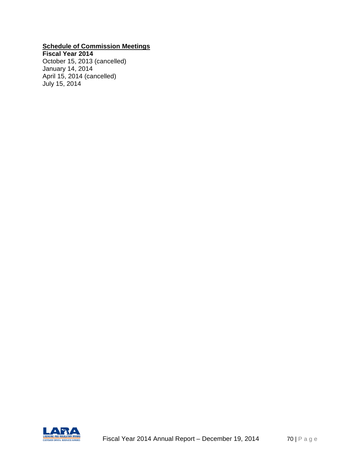## **Schedule of Commission Meetings**

**Fiscal Year 2014** October 15, 2013 (cancelled) January 14, 2014 April 15, 2014 (cancelled) July 15, 2014

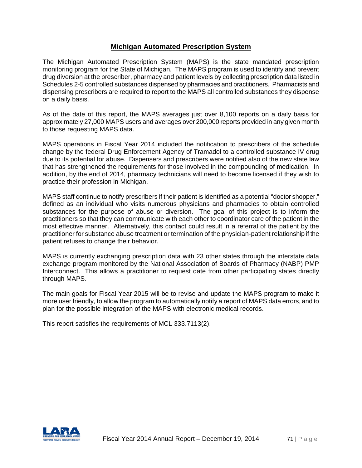## **Michigan Automated Prescription System**

The Michigan Automated Prescription System (MAPS) is the state mandated prescription monitoring program for the State of Michigan. The MAPS program is used to identify and prevent drug diversion at the prescriber, pharmacy and patient levels by collecting prescription data listed in Schedules 2-5 controlled substances dispensed by pharmacies and practitioners. Pharmacists and dispensing prescribers are required to report to the MAPS all controlled substances they dispense on a daily basis.

As of the date of this report, the MAPS averages just over 8,100 reports on a daily basis for approximately 27,000 MAPS users and averages over 200,000 reports provided in any given month to those requesting MAPS data.

MAPS operations in Fiscal Year 2014 included the notification to prescribers of the schedule change by the federal Drug Enforcement Agency of Tramadol to a controlled substance IV drug due to its potential for abuse. Dispensers and prescribers were notified also of the new state law that has strengthened the requirements for those involved in the compounding of medication. In addition, by the end of 2014, pharmacy technicians will need to become licensed if they wish to practice their profession in Michigan.

MAPS staff continue to notify prescribers if their patient is identified as a potential "doctor shopper," defined as an individual who visits numerous physicians and pharmacies to obtain controlled substances for the purpose of abuse or diversion. The goal of this project is to inform the practitioners so that they can communicate with each other to coordinator care of the patient in the most effective manner. Alternatively, this contact could result in a referral of the patient by the practitioner for substance abuse treatment or termination of the physician-patient relationship if the patient refuses to change their behavior.

MAPS is currently exchanging prescription data with 23 other states through the interstate data exchange program monitored by the National Association of Boards of Pharmacy (NABP) PMP Interconnect. This allows a practitioner to request date from other participating states directly through MAPS.

The main goals for Fiscal Year 2015 will be to revise and update the MAPS program to make it more user friendly, to allow the program to automatically notify a report of MAPS data errors, and to plan for the possible integration of the MAPS with electronic medical records.

This report satisfies the requirements of MCL 333.7113(2).

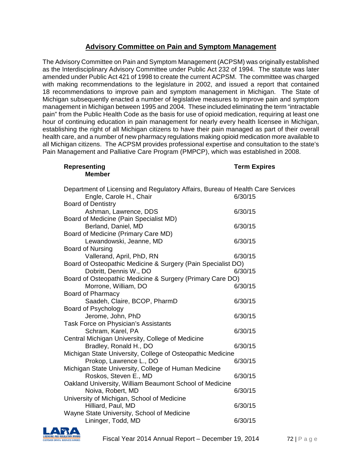# **Advisory Committee on Pain and Symptom Management**

The Advisory Committee on Pain and Symptom Management (ACPSM) was originally established as the Interdisciplinary Advisory Committee under Public Act 232 of 1994. The statute was later amended under Public Act 421 of 1998 to create the current ACPSM. The committee was charged with making recommendations to the legislature in 2002, and issued a report that contained 18 recommendations to improve pain and symptom management in Michigan. The State of Michigan subsequently enacted a number of legislative measures to improve pain and symptom management in Michigan between 1995 and 2004. These included eliminating the term "intractable pain" from the Public Health Code as the basis for use of opioid medication, requiring at least one hour of continuing education in pain management for nearly every health licensee in Michigan, establishing the right of all Michigan citizens to have their pain managed as part of their overall health care, and a number of new pharmacy regulations making opioid medication more available to all Michigan citizens. The ACPSM provides professional expertise and consultation to the state's Pain Management and Palliative Care Program (PMPCP), which was established in 2008.

#### **Representing Term Expires Member**

| Department of Licensing and Regulatory Affairs, Bureau of Health Care Services<br>Engle, Carole H., Chair | 6/30/15 |
|-----------------------------------------------------------------------------------------------------------|---------|
| <b>Board of Dentistry</b>                                                                                 |         |
| Ashman, Lawrence, DDS                                                                                     | 6/30/15 |
| Board of Medicine (Pain Specialist MD)                                                                    |         |
| Berland, Daniel, MD                                                                                       | 6/30/15 |
| Board of Medicine (Primary Care MD)                                                                       |         |
| Lewandowski, Jeanne, MD                                                                                   | 6/30/15 |
| <b>Board of Nursing</b>                                                                                   |         |
| Vallerand, April, PhD, RN                                                                                 | 6/30/15 |
| Board of Osteopathic Medicine & Surgery (Pain Specialist DO)                                              |         |
| Dobritt, Dennis W., DO                                                                                    | 6/30/15 |
| Board of Osteopathic Medicine & Surgery (Primary Care DO)                                                 |         |
| Morrone, William, DO                                                                                      | 6/30/15 |
| <b>Board of Pharmacy</b>                                                                                  |         |
| Saadeh, Claire, BCOP, PharmD                                                                              | 6/30/15 |
| <b>Board of Psychology</b>                                                                                |         |
| Jerome, John, PhD                                                                                         | 6/30/15 |
| Task Force on Physician's Assistants                                                                      |         |
| Schram, Karel, PA                                                                                         | 6/30/15 |
| Central Michigan University, College of Medicine                                                          |         |
| Bradley, Ronald H., DO                                                                                    | 6/30/15 |
| Michigan State University, College of Osteopathic Medicine                                                |         |
| Prokop, Lawrence L., DO                                                                                   | 6/30/15 |
| Michigan State University, College of Human Medicine                                                      |         |
| Roskos, Steven E., MD                                                                                     | 6/30/15 |
| Oakland University, William Beaumont School of Medicine                                                   |         |
| Noiva, Robert, MD                                                                                         | 6/30/15 |
| University of Michigan, School of Medicine                                                                |         |
| Hilliard, Paul, MD                                                                                        | 6/30/15 |
| Wayne State University, School of Medicine                                                                |         |
| Lininger, Todd, MD                                                                                        | 6/30/15 |